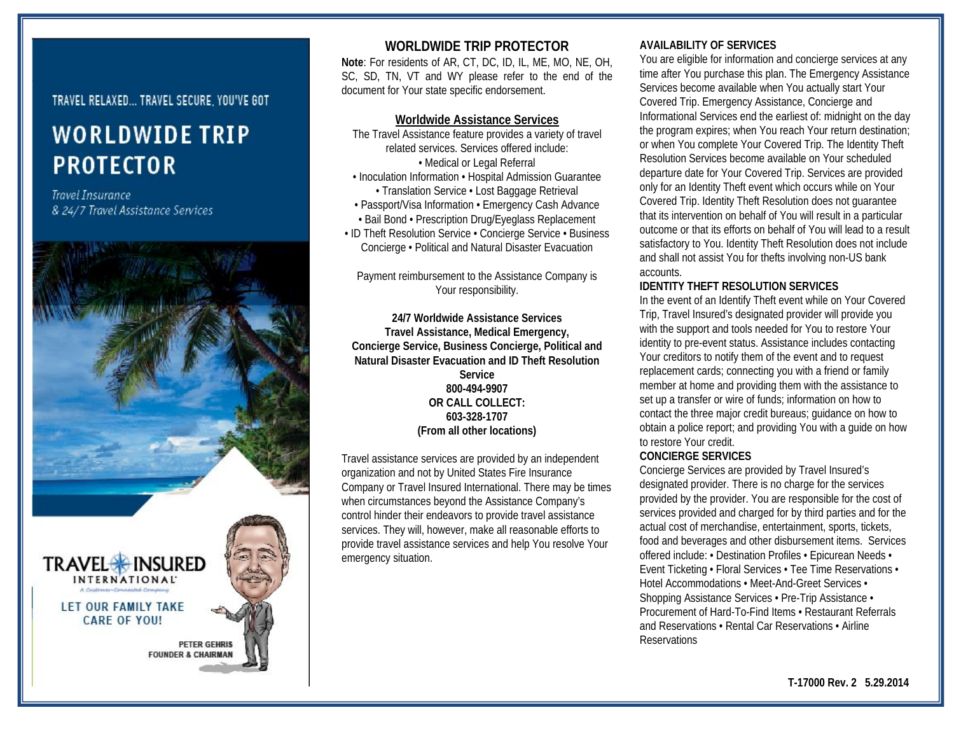## TRAVEL RELAXED... TRAVEL SECURE YOU'VE GOT

# **WORLDWIDE TRIP PROTECTOR**

**Travel Insurance** & 24/7 Travel Assistance Services



# **WORLDWIDE TRIP PROTECTOR**

**Note**: For residents of AR, CT, DC, ID, IL, ME, MO, NE, OH, SC, SD, TN, VT and WY please refer to the end of the document for Your state specific endorsement.

#### **Worldwide Assistance Services**

- The Travel Assistance feature provides a variety of travel related services. Services offered include: • Medical or Legal Referral • Inoculation Information • Hospital Admission Guarantee • Translation Service • Lost Baggage Retrieval • Passport/Visa Information • Emergency Cash Advance • Bail Bond • Prescription Drug/Eyeglass Replacement
- ID Theft Resolution Service Concierge Service Business Concierge • Political and Natural Disaster Evacuation

Payment reimbursement to the Assistance Company is Your responsibility.

**24/7 Worldwide Assistance Services Travel Assistance, Medical Emergency, Concierge Service, Business Concierge, Political and Natural Disaster Evacuation and ID Theft Resolution Service 800-494-9907 OR CALL COLLECT: 603-328-1707 (From all other locations)**

Travel assistance services are provided by an independent organization and not by United States Fire Insurance Company or Travel Insured International. There may be times when circumstances beyond the Assistance Company's control hinder their endeavors to provide travel assistance services. They will, however, make all reasonable efforts to provide travel assistance services and help You resolve Your emergency situation.

## **AVAILABILITY OF SERVICES**

You are eligible for information and concierge services at any time after You purchase this plan. The Emergency Assistance Services become available when You actually start Your Covered Trip. Emergency Assistance, Concierge and Informational Services end the earliest of: midnight on the day the program expires; when You reach Your return destination; or when You complete Your Covered Trip. The Identity Theft Resolution Services become available on Your scheduled departure date for Your Covered Trip. Services are provided only for an Identity Theft event which occurs while on Your Covered Trip. Identity Theft Resolution does not guarantee that its intervention on behalf of You will result in a particular outcome or that its efforts on behalf of You will lead to a result satisfactory to You. Identity Theft Resolution does not include and shall not assist You for thefts involving non-US bank accounts.

#### **IDENTITY THEFT RESOLUTION SERVICES**

In the event of an Identify Theft event while on Your Covered Trip, Travel Insured's designated provider will provide you with the support and tools needed for You to restore Your identity to pre-event status. Assistance includes contacting Your creditors to notify them of the event and to request replacement cards; connecting you with a friend or family member at home and providing them with the assistance to set up a transfer or wire of funds; information on how to contact the three major credit bureaus; guidance on how to obtain a police report; and providing You with a guide on how to restore Your credit.

#### **CONCIERGE SERVICES**

Concierge Services are provided by Travel Insured's designated provider. There is no charge for the services provided by the provider. You are responsible for the cost of services provided and charged for by third parties and for the actual cost of merchandise, entertainment, sports, tickets, food and beverages and other disbursement items. Services offered include: • Destination Profiles • Epicurean Needs • Event Ticketing • Floral Services • Tee Time Reservations • Hotel Accommodations • Meet-And-Greet Services • Shopping Assistance Services • Pre-Trip Assistance • Procurement of Hard-To-Find Items • Restaurant Referrals and Reservations • Rental Car Reservations • Airline **Reservations**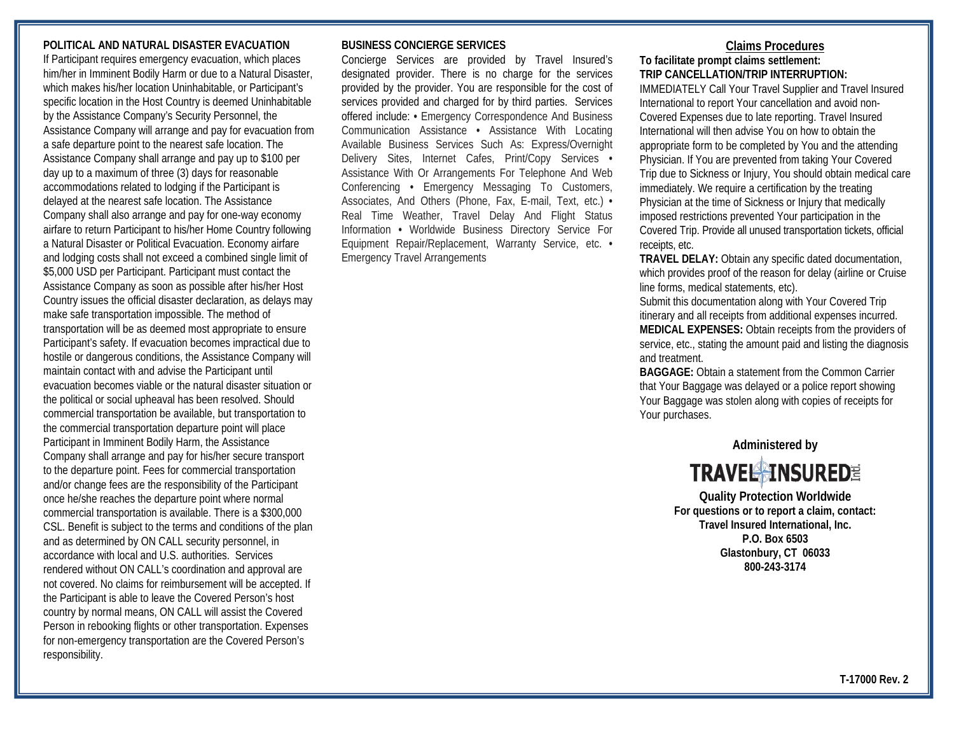## **POLITICAL AND NATURAL DISASTER EVACUATION**

If Participant requires emergency evacuation, which places him/her in Imminent Bodily Harm or due to a Natural Disaster, which makes his/her location Uninhabitable, or Participant's specific location in the Host Country is deemed Uninhabitable by the Assistance Company's Security Personnel, the Assistance Company will arrange and pay for evacuation from a safe departure point to the nearest safe location. The Assistance Company shall arrange and pay up to \$100 per day up to a maximum of three (3) days for reasonable accommodations related to lodging if the Participant is delayed at the nearest safe location. The Assistance Company shall also arrange and pay for one-way economy airfare to return Participant to his/her Home Country following a Natural Disaster or Political Evacuation. Economy airfare and lodging costs shall not exceed a combined single limit of \$5,000 USD per Participant. Participant must contact the Assistance Company as soon as possible after his/her Host Country issues the official disaster declaration, as delays may make safe transportation impossible. The method of transportation will be as deemed most appropriate to ensure Participant's safety. If evacuation becomes impractical due to hostile or dangerous conditions, the Assistance Company will maintain contact with and advise the Participant until evacuation becomes viable or the natural disaster situation or the political or social upheaval has been resolved. Should commercial transportation be available, but transportation to the commercial transportation departure point will place Participant in Imminent Bodily Harm, the Assistance Company shall arrange and pay for his/her secure transport to the departure point. Fees for commercial transportation and/or change fees are the responsibility of the Participant once he/she reaches the departure point where normal commercial transportation is available. There is a \$300,000 CSL. Benefit is subject to the terms and conditions of the plan and as determined by ON CALL security personnel, in accordance with local and U.S. authorities. Services rendered without ON CALL's coordination and approval are not covered. No claims for reimbursement will be accepted. If the Participant is able to leave the Covered Person's host country by normal means, ON CALL will assist the Covered Person in rebooking flights or other transportation. Expenses for non-emergency transportation are the Covered Person's responsibility.

#### **BUSINESS CONCIERGE SERVICES**

Concierge Services are provided by Travel Insured's designated provider. There is no charge for the services provided by the provider. You are responsible for the cost of services provided and charged for by third parties. Services offered include: **•** Emergency Correspondence And Business Communication Assistance **•** Assistance With Locating Available Business Services Such As: Express/Overnight Delivery Sites, Internet Cafes, Print/Copy Services **•**  Assistance With Or Arrangements For Telephone And Web Conferencing **•** Emergency Messaging To Customers, Associates, And Others (Phone, Fax, E-mail, Text, etc.) **•**  Real Time Weather, Travel Delay And Flight Status Information **•** Worldwide Business Directory Service For Equipment Repair/Replacement, Warranty Service, etc. **•**  Emergency Travel Arrangements

# **Claims Procedures**

## **To facilitate prompt claims settlement: TRIP CANCELLATION/TRIP INTERRUPTION:**

IMMEDIATELY Call Your Travel Supplier and Travel Insured International to report Your cancellation and avoid non-Covered Expenses due to late reporting. Travel Insured International will then advise You on how to obtain the appropriate form to be completed by You and the attending Physician. If You are prevented from taking Your Covered Trip due to Sickness or Injury, You should obtain medical care immediately. We require a certification by the treating Physician at the time of Sickness or Injury that medically imposed restrictions prevented Your participation in the Covered Trip. Provide all unused transportation tickets, official receipts, etc.

**TRAVEL DELAY:** Obtain any specific dated documentation, which provides proof of the reason for delay (airline or Cruise line forms, medical statements, etc).

Submit this documentation along with Your Covered Trip itinerary and all receipts from additional expenses incurred. **MEDICAL EXPENSES:** Obtain receipts from the providers of service, etc., stating the amount paid and listing the diagnosis and treatment.

**BAGGAGE:** Obtain a statement from the Common Carrier that Your Baggage was delayed or a police report showing Your Baggage was stolen along with copies of receipts for Your purchases.



**Quality Protection Worldwide For questions or to report a claim, contact: Travel Insured International, Inc. P.O. Box 6503 Glastonbury, CT 06033 800-243-3174**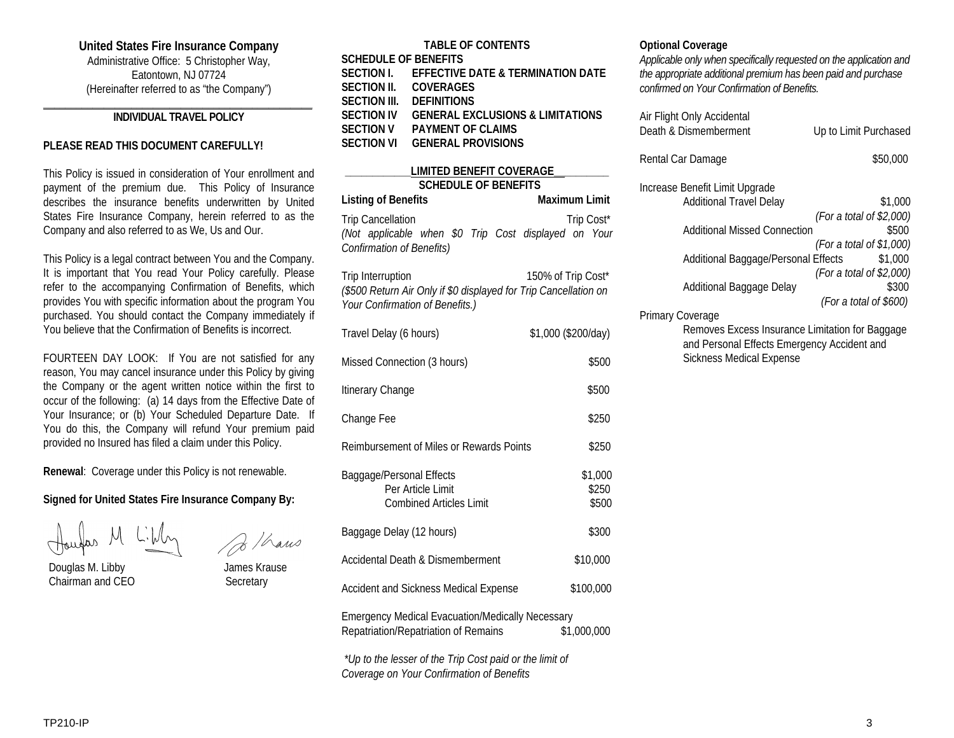#### **United States Fire Insurance Company**

Administrative Office: 5 Christopher Way, Eatontown, NJ 07724 (Hereinafter referred to as "the Company")

#### **\_\_\_\_\_\_\_\_\_\_\_\_\_\_\_\_\_\_\_\_\_\_\_\_\_\_\_\_\_\_\_\_\_\_\_\_\_\_\_\_\_\_\_\_\_\_\_\_\_ INDIVIDUAL TRAVEL POLICY**

#### **PLEASE READ THIS DOCUMENT CAREFULLY!**

This Policy is issued in consideration of Your enrollment and payment of the premium due. This Policy of Insurance describes the insurance benefits underwritten by United States Fire Insurance Company, herein referred to as the Company and also referred to as We, Us and Our.

This Policy is a legal contract between You and the Company. It is important that You read Your Policy carefully. Please refer to the accompanying Confirmation of Benefits, which provides You with specific information about the program You purchased. You should contact the Company immediately if You believe that the Confirmation of Benefits is incorrect.

FOURTEEN DAY LOOK: If You are not satisfied for any reason, You may cancel insurance under this Policy by giving the Company or the agent written notice within the first to occur of the following: (a) 14 days from the Effective Date of Your Insurance; or (b) Your Scheduled Departure Date. If You do this, the Company will refund Your premium paid provided no Insured has filed a claim under this Policy.

**Renewal**: Coverage under this Policy is not renewable.

#### **Signed for United States Fire Insurance Company By:**

 Douglas M. Libby James Krause Chairman and CEO Secretary

B / hans

| <b>TABLE OF CONTENTS</b> |                                              |  |  |
|--------------------------|----------------------------------------------|--|--|
| SCHEDULE OF BENEFITS     |                                              |  |  |
|                          | SECTION I. EFFECTIVE DATE & TERMINATION DATE |  |  |
|                          | SECTION II. COVERAGES                        |  |  |
| SECTION III.             | <b>DEFINITIONS</b>                           |  |  |
| SECTION IV               | <b>GENERAL EXCLUSIONS &amp; LIMITATIONS</b>  |  |  |
| SECTION V                | <b>PAYMENT OF CLAIMS</b>                     |  |  |
| SECTION VI               | GENERAL PROVISIONS                           |  |  |
|                          |                                              |  |  |

# **\_\_\_\_\_\_\_\_\_\_\_\_LIMITED BENEFIT COVERAGE\_\_\_\_\_\_\_\_\_\_ SCHEDULE OF BENEFITS Listing of Benefits** Maximum Limit Trip Cancellation Trip Cost\* *(Not applicable when \$0 Trip Cost displayed on Your Confirmation of Benefits)*

| Trip Interruption                                                | 150% of Trip Cost* |
|------------------------------------------------------------------|--------------------|
| (\$500 Return Air Only if \$0 displayed for Trip Cancellation on |                    |
| Your Confirmation of Benefits.)                                  |                    |

| Travel Delay (6 hours)                                                                                         | \$1,000 (\$200/day)       |  |
|----------------------------------------------------------------------------------------------------------------|---------------------------|--|
| Missed Connection (3 hours)                                                                                    | \$500                     |  |
| Itinerary Change                                                                                               | \$500                     |  |
| Change Fee                                                                                                     | \$250                     |  |
| Reimbursement of Miles or Rewards Points                                                                       | \$250                     |  |
| Baggage/Personal Effects<br>Per Article Limit<br><b>Combined Articles Limit</b>                                | \$1,000<br>\$250<br>\$500 |  |
| Baggage Delay (12 hours)                                                                                       | \$300                     |  |
| Accidental Death & Dismemberment                                                                               | \$10,000                  |  |
| Accident and Sickness Medical Expense                                                                          | \$100,000                 |  |
| <b>Emergency Medical Evacuation/Medically Necessary</b><br>Repatriation/Repatriation of Remains<br>\$1,000,000 |                           |  |

*\*Up to the lesser of the Trip Cost paid or the limit of Coverage on Your Confirmation of Benefits*

#### **Optional Coverage**

*Applicable only when specifically requested on the application and the appropriate additional premium has been paid and purchase confirmed on Your Confirmation of Benefits.*

| Air Flight Only Accidental<br>Death & Dismemberment | Up to Limit Purchased    |
|-----------------------------------------------------|--------------------------|
| Rental Car Damage                                   | \$50,000                 |
| Increase Benefit Limit Upgrade                      |                          |
| <b>Additional Travel Delay</b>                      | \$1,000                  |
|                                                     | (For a total of \$2,000) |
| <b>Additional Missed Connection</b>                 | \$500                    |
|                                                     | (For a total of \$1,000) |
| Additional Baggage/Personal Effects                 | \$1,000                  |
|                                                     | (For a total of \$2,000) |
| Additional Baggage Delay                            | \$300                    |
|                                                     | (For a total of $$600$ ) |
| Primary Coverage                                    |                          |
| Removes Excess Insurance Limitation for Baggage     |                          |
| and Personal Effects Emergency Accident and         |                          |

Sickness Medical Expense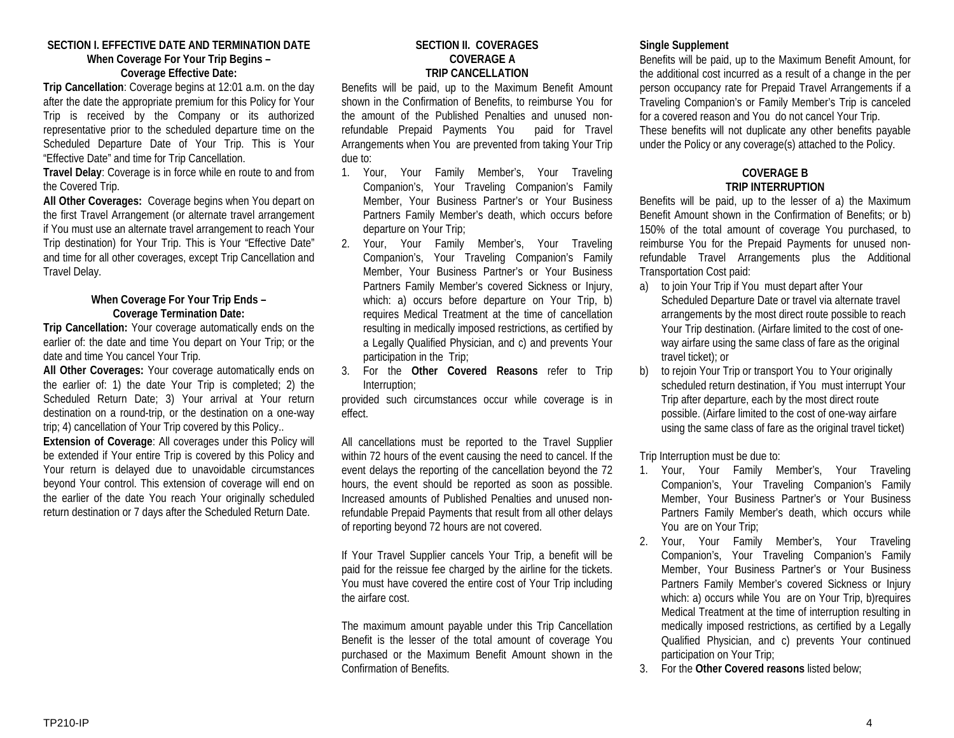#### **SECTION I. EFFECTIVE DATE AND TERMINATION DATE When Coverage For Your Trip Begins – Coverage Effective Date:**

**Trip Cancellation**: Coverage begins at 12:01 a.m. on the day after the date the appropriate premium for this Policy for Your Trip is received by the Company or its authorized representative prior to the scheduled departure time on the Scheduled Departure Date of Your Trip. This is Your "Effective Date" and time for Trip Cancellation.

**Travel Delay**: Coverage is in force while en route to and from the Covered Trip.

**All Other Coverages:** Coverage begins when You depart on the first Travel Arrangement (or alternate travel arrangement if You must use an alternate travel arrangement to reach Your Trip destination) for Your Trip. This is Your "Effective Date" and time for all other coverages, except Trip Cancellation and Travel Delay.

## **When Coverage For Your Trip Ends – Coverage Termination Date:**

**Trip Cancellation:** Your coverage automatically ends on the earlier of: the date and time You depart on Your Trip; or the date and time You cancel Your Trip.

**All Other Coverages:** Your coverage automatically ends on the earlier of: 1) the date Your Trip is completed; 2) the Scheduled Return Date; 3) Your arrival at Your return destination on a round-trip, or the destination on a one-way trip; 4) cancellation of Your Trip covered by this Policy..

**Extension of Coverage**: All coverages under this Policy will be extended if Your entire Trip is covered by this Policy and Your return is delayed due to unavoidable circumstances beyond Your control. This extension of coverage will end on the earlier of the date You reach Your originally scheduled return destination or 7 days after the Scheduled Return Date.

#### **SECTION II. COVERAGES COVERAGE A TRIP CANCELLATION**

Benefits will be paid, up to the Maximum Benefit Amount shown in the Confirmation of Benefits, to reimburse You for the amount of the Published Penalties and unused nonrefundable Prepaid Payments You paid for Travel Arrangements when You are prevented from taking Your Trip due to:

- 1. Your, Your Family Member's, Your Traveling Companion's, Your Traveling Companion's Family Member, Your Business Partner's or Your Business Partners Family Member's death, which occurs before departure on Your Trip;
- 2. Your, Your Family Member's, Your Traveling Companion's, Your Traveling Companion's Family Member, Your Business Partner's or Your Business Partners Family Member's covered Sickness or Injury, which: a) occurs before departure on Your Trip, b) requires Medical Treatment at the time of cancellation resulting in medically imposed restrictions, as certified by a Legally Qualified Physician, and c) and prevents Your participation in the Trip;
- 3. For the **Other Covered Reasons** refer to Trip Interruption;

provided such circumstances occur while coverage is in effect.

All cancellations must be reported to the Travel Supplier within 72 hours of the event causing the need to cancel. If the event delays the reporting of the cancellation beyond the 72 hours, the event should be reported as soon as possible. Increased amounts of Published Penalties and unused nonrefundable Prepaid Payments that result from all other delays of reporting beyond 72 hours are not covered.

If Your Travel Supplier cancels Your Trip, a benefit will be paid for the reissue fee charged by the airline for the tickets. You must have covered the entire cost of Your Trip including the airfare cost.

The maximum amount payable under this Trip Cancellation Benefit is the lesser of the total amount of coverage You purchased or the Maximum Benefit Amount shown in the Confirmation of Benefits.

## **Single Supplement**

Benefits will be paid, up to the Maximum Benefit Amount, for the additional cost incurred as a result of a change in the per person occupancy rate for Prepaid Travel Arrangements if a Traveling Companion's or Family Member's Trip is canceled for a covered reason and You do not cancel Your Trip. These benefits will not duplicate any other benefits payable under the Policy or any coverage(s) attached to the Policy.

## **COVERAGE B TRIP INTERRUPTION**

Benefits will be paid, up to the lesser of a) the Maximum Benefit Amount shown in the Confirmation of Benefits; or b) 150% of the total amount of coverage You purchased, to reimburse You for the Prepaid Payments for unused nonrefundable Travel Arrangements plus the Additional Transportation Cost paid:

- a) to join Your Trip if You must depart after Your Scheduled Departure Date or travel via alternate travel arrangements by the most direct route possible to reach Your Trip destination. (Airfare limited to the cost of oneway airfare using the same class of fare as the original travel ticket); or
- b) to rejoin Your Trip or transport You to Your originally scheduled return destination, if You must interrupt Your Trip after departure, each by the most direct route possible. (Airfare limited to the cost of one-way airfare using the same class of fare as the original travel ticket)

Trip Interruption must be due to:

- 1. Your, Your Family Member's, Your Traveling Companion's, Your Traveling Companion's Family Member, Your Business Partner's or Your Business Partners Family Member's death, which occurs while You are on Your Trip;
- 2. Your, Your Family Member's, Your Traveling Companion's, Your Traveling Companion's Family Member, Your Business Partner's or Your Business Partners Family Member's covered Sickness or Injury which: a) occurs while You are on Your Trip, b)requires Medical Treatment at the time of interruption resulting in medically imposed restrictions, as certified by a Legally Qualified Physician, and c) prevents Your continued participation on Your Trip;
- 3. For the **Other Covered reasons** listed below;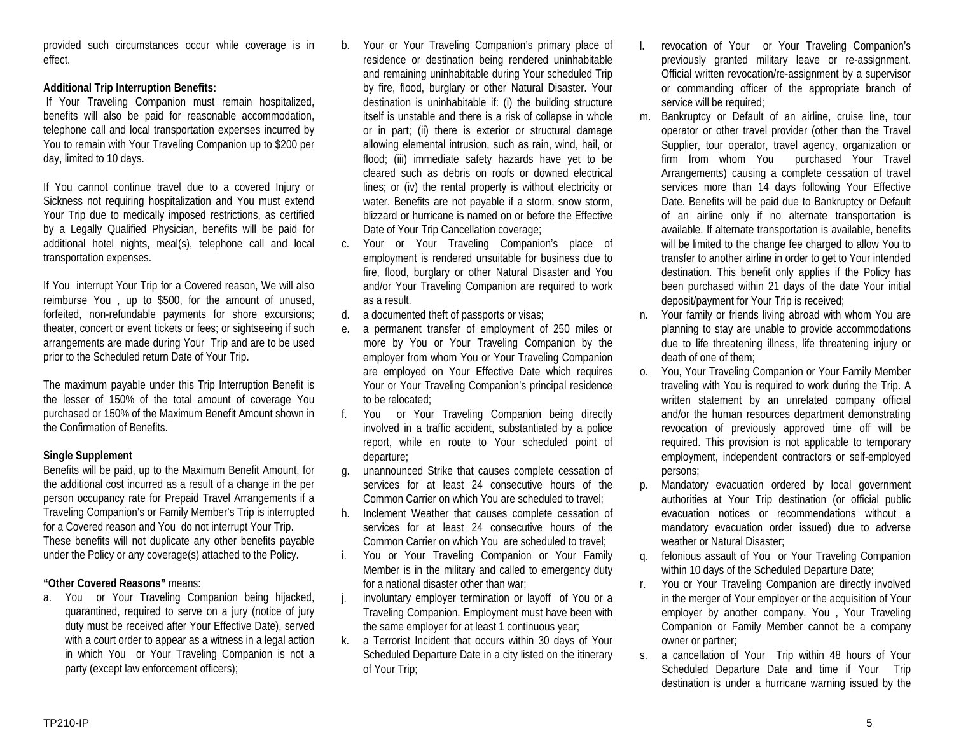provided such circumstances occur while coverage is in effect.

## **Additional Trip Interruption Benefits:**

If Your Traveling Companion must remain hospitalized, benefits will also be paid for reasonable accommodation, telephone call and local transportation expenses incurred by You to remain with Your Traveling Companion up to \$200 per day, limited to 10 days.

If You cannot continue travel due to a covered Injury or Sickness not requiring hospitalization and You must extend Your Trip due to medically imposed restrictions, as certified by a Legally Qualified Physician, benefits will be paid for additional hotel nights, meal(s), telephone call and local transportation expenses.

If You interrupt Your Trip for a Covered reason, We will also reimburse You , up to \$500, for the amount of unused, forfeited, non-refundable payments for shore excursions; theater, concert or event tickets or fees; or sightseeing if such arrangements are made during Your Trip and are to be used prior to the Scheduled return Date of Your Trip.

The maximum payable under this Trip Interruption Benefit is the lesser of 150% of the total amount of coverage You purchased or 150% of the Maximum Benefit Amount shown in the Confirmation of Benefits.

## **Single Supplement**

Benefits will be paid, up to the Maximum Benefit Amount, for the additional cost incurred as a result of a change in the per person occupancy rate for Prepaid Travel Arrangements if a Traveling Companion's or Family Member's Trip is interrupted for a Covered reason and You do not interrupt Your Trip. These benefits will not duplicate any other benefits payable under the Policy or any coverage(s) attached to the Policy.

## **"Other Covered Reasons"** means:

a. You or Your Traveling Companion being hijacked, quarantined, required to serve on a jury (notice of jury duty must be received after Your Effective Date), served with a court order to appear as a witness in a legal action in which You or Your Traveling Companion is not a party (except law enforcement officers);

- b. Your or Your Traveling Companion's primary place of residence or destination being rendered uninhabitable and remaining uninhabitable during Your scheduled Trip by fire, flood, burglary or other Natural Disaster. Your destination is uninhabitable if: (i) the building structure itself is unstable and there is a risk of collapse in whole or in part; (ii) there is exterior or structural damage allowing elemental intrusion, such as rain, wind, hail, or flood; (iii) immediate safety hazards have yet to be cleared such as debris on roofs or downed electrical lines; or (iv) the rental property is without electricity or water. Benefits are not payable if a storm, snow storm, blizzard or hurricane is named on or before the Effective Date of Your Trip Cancellation coverage;
- c. Your or Your Traveling Companion's place of employment is rendered unsuitable for business due to fire, flood, burglary or other Natural Disaster and You and/or Your Traveling Companion are required to work as a result.
- d. a documented theft of passports or visas;
- e. a permanent transfer of employment of 250 miles or more by You or Your Traveling Companion by the employer from whom You or Your Traveling Companion are employed on Your Effective Date which requires Your or Your Traveling Companion's principal residence to be relocated;
- f. You or Your Traveling Companion being directly involved in a traffic accident, substantiated by a police report, while en route to Your scheduled point of departure;
- g. unannounced Strike that causes complete cessation of services for at least 24 consecutive hours of the Common Carrier on which You are scheduled to travel;
- h. Inclement Weather that causes complete cessation of services for at least 24 consecutive hours of the Common Carrier on which You are scheduled to travel;
- i. You or Your Traveling Companion or Your Family Member is in the military and called to emergency duty for a national disaster other than war;
- j. involuntary employer termination or layoff of You or a Traveling Companion. Employment must have been with the same employer for at least 1 continuous year;
- k. a Terrorist Incident that occurs within 30 days of Your Scheduled Departure Date in a city listed on the itinerary of Your Trip;
- l. revocation of Your or Your Traveling Companion's previously granted military leave or re-assignment. Official written revocation/re-assignment by a supervisor or commanding officer of the appropriate branch of service will be required;
- m. Bankruptcy or Default of an airline, cruise line, tour operator or other travel provider (other than the Travel Supplier, tour operator, travel agency, organization or firm from whom You purchased Your Travel Arrangements) causing a complete cessation of travel services more than 14 days following Your Effective Date. Benefits will be paid due to Bankruptcy or Default of an airline only if no alternate transportation is available. If alternate transportation is available, benefits will be limited to the change fee charged to allow You to transfer to another airline in order to get to Your intended destination. This benefit only applies if the Policy has been purchased within 21 days of the date Your initial deposit/payment for Your Trip is received;
- n. Your family or friends living abroad with whom You are planning to stay are unable to provide accommodations due to life threatening illness, life threatening injury or death of one of them;
- o. You, Your Traveling Companion or Your Family Member traveling with You is required to work during the Trip. A written statement by an unrelated company official and/or the human resources department demonstrating revocation of previously approved time off will be required. This provision is not applicable to temporary employment, independent contractors or self-employed persons;
- p. Mandatory evacuation ordered by local government authorities at Your Trip destination (or official public evacuation notices or recommendations without a mandatory evacuation order issued) due to adverse weather or Natural Disaster;
- q. felonious assault of You or Your Traveling Companion within 10 days of the Scheduled Departure Date;
- r. You or Your Traveling Companion are directly involved in the merger of Your employer or the acquisition of Your employer by another company. You , Your Traveling Companion or Family Member cannot be a company owner or partner;
- s. a cancellation of Your Trip within 48 hours of Your Scheduled Departure Date and time if Your Trip destination is under a hurricane warning issued by the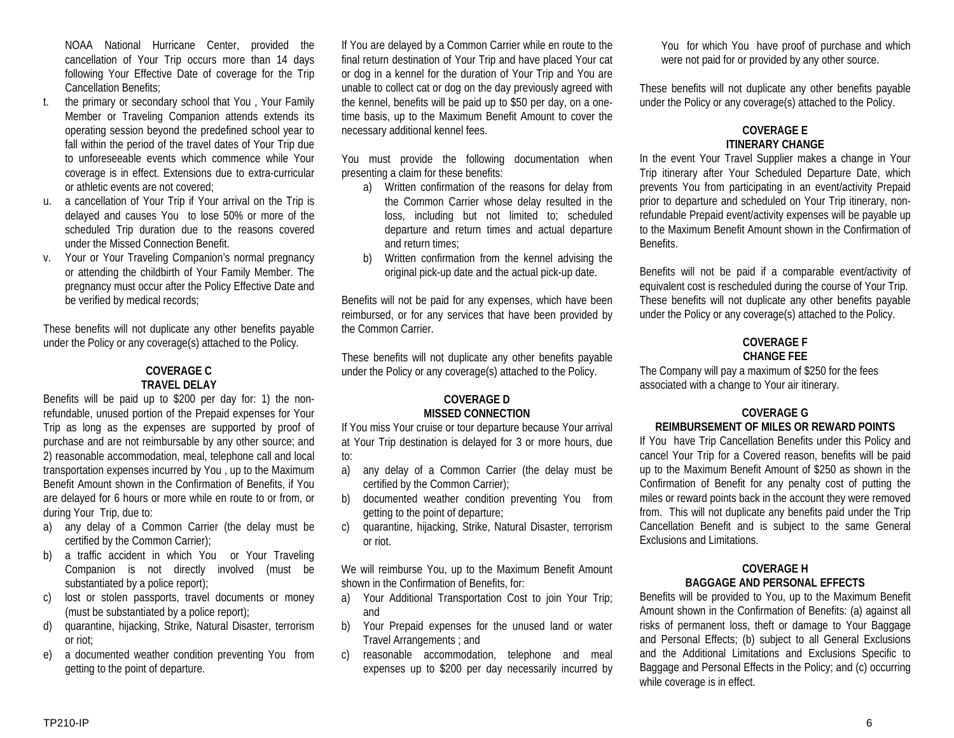NOAA National Hurricane Center, provided the cancellation of Your Trip occurs more than 14 days following Your Effective Date of coverage for the Trip Cancellation Benefits;

- t. the primary or secondary school that You , Your Family Member or Traveling Companion attends extends its operating session beyond the predefined school year to fall within the period of the travel dates of Your Trip due to unforeseeable events which commence while Your coverage is in effect. Extensions due to extra-curricular or athletic events are not covered;
- u. a cancellation of Your Trip if Your arrival on the Trip is delayed and causes You to lose 50% or more of the scheduled Trip duration due to the reasons covered under the Missed Connection Benefit.
- v. Your or Your Traveling Companion's normal pregnancy or attending the childbirth of Your Family Member. The pregnancy must occur after the Policy Effective Date and be verified by medical records;

These benefits will not duplicate any other benefits payable under the Policy or any coverage(s) attached to the Policy.

# **COVERAGE C TRAVEL DELAY**

Benefits will be paid up to \$200 per day for: 1) the nonrefundable, unused portion of the Prepaid expenses for Your Trip as long as the expenses are supported by proof of purchase and are not reimbursable by any other source; and 2) reasonable accommodation, meal, telephone call and local transportation expenses incurred by You , up to the Maximum Benefit Amount shown in the Confirmation of Benefits, if You are delayed for 6 hours or more while en route to or from, or during Your Trip, due to:

- a) any delay of a Common Carrier (the delay must be certified by the Common Carrier);
- b) a traffic accident in which You or Your Traveling Companion is not directly involved (must be substantiated by a police report);
- c) lost or stolen passports, travel documents or money (must be substantiated by a police report);
- d) quarantine, hijacking, Strike, Natural Disaster, terrorism or riot;
- e) a documented weather condition preventing You from getting to the point of departure.

If You are delayed by a Common Carrier while en route to the final return destination of Your Trip and have placed Your cat or dog in a kennel for the duration of Your Trip and You are unable to collect cat or dog on the day previously agreed with the kennel, benefits will be paid up to \$50 per day, on a onetime basis, up to the Maximum Benefit Amount to cover the necessary additional kennel fees.

You must provide the following documentation when presenting a claim for these benefits:

- a) Written confirmation of the reasons for delay from the Common Carrier whose delay resulted in the loss, including but not limited to; scheduled departure and return times and actual departure and return times;
- b) Written confirmation from the kennel advising the original pick-up date and the actual pick-up date.

Benefits will not be paid for any expenses, which have been reimbursed, or for any services that have been provided by the Common Carrier.

These benefits will not duplicate any other benefits payable under the Policy or any coverage(s) attached to the Policy.

#### **COVERAGE D MISSED CONNECTION**

If You miss Your cruise or tour departure because Your arrival at Your Trip destination is delayed for 3 or more hours, due to:

- a) any delay of a Common Carrier (the delay must be certified by the Common Carrier);
- b) documented weather condition preventing You from getting to the point of departure;
- c) quarantine, hijacking, Strike, Natural Disaster, terrorism or riot.

We will reimburse You, up to the Maximum Benefit Amount shown in the Confirmation of Benefits, for:

- a) Your Additional Transportation Cost to join Your Trip; and
- b) Your Prepaid expenses for the unused land or water Travel Arrangements ; and
- c) reasonable accommodation, telephone and meal expenses up to \$200 per day necessarily incurred by

You for which You have proof of purchase and which were not paid for or provided by any other source.

These benefits will not duplicate any other benefits payable under the Policy or any coverage(s) attached to the Policy.

# **COVERAGE E ITINERARY CHANGE**

In the event Your Travel Supplier makes a change in Your Trip itinerary after Your Scheduled Departure Date, which prevents You from participating in an event/activity Prepaid prior to departure and scheduled on Your Trip itinerary, nonrefundable Prepaid event/activity expenses will be payable up to the Maximum Benefit Amount shown in the Confirmation of Benefits.

Benefits will not be paid if a comparable event/activity of equivalent cost is rescheduled during the course of Your Trip. These benefits will not duplicate any other benefits payable under the Policy or any coverage(s) attached to the Policy.

## **COVERAGE F CHANGE FEE**

The Company will pay a maximum of \$250 for the fees associated with a change to Your air itinerary.

#### **COVERAGE G REIMBURSEMENT OF MILES OR REWARD POINTS**

If You have Trip Cancellation Benefits under this Policy and cancel Your Trip for a Covered reason, benefits will be paid up to the Maximum Benefit Amount of \$250 as shown in the Confirmation of Benefit for any penalty cost of putting the miles or reward points back in the account they were removed from. This will not duplicate any benefits paid under the Trip Cancellation Benefit and is subject to the same General Exclusions and Limitations.

#### **COVERAGE H BAGGAGE AND PERSONAL EFFECTS**

Benefits will be provided to You, up to the Maximum Benefit Amount shown in the Confirmation of Benefits: (a) against all risks of permanent loss, theft or damage to Your Baggage and Personal Effects; (b) subject to all General Exclusions and the Additional Limitations and Exclusions Specific to Baggage and Personal Effects in the Policy; and (c) occurring while coverage is in effect.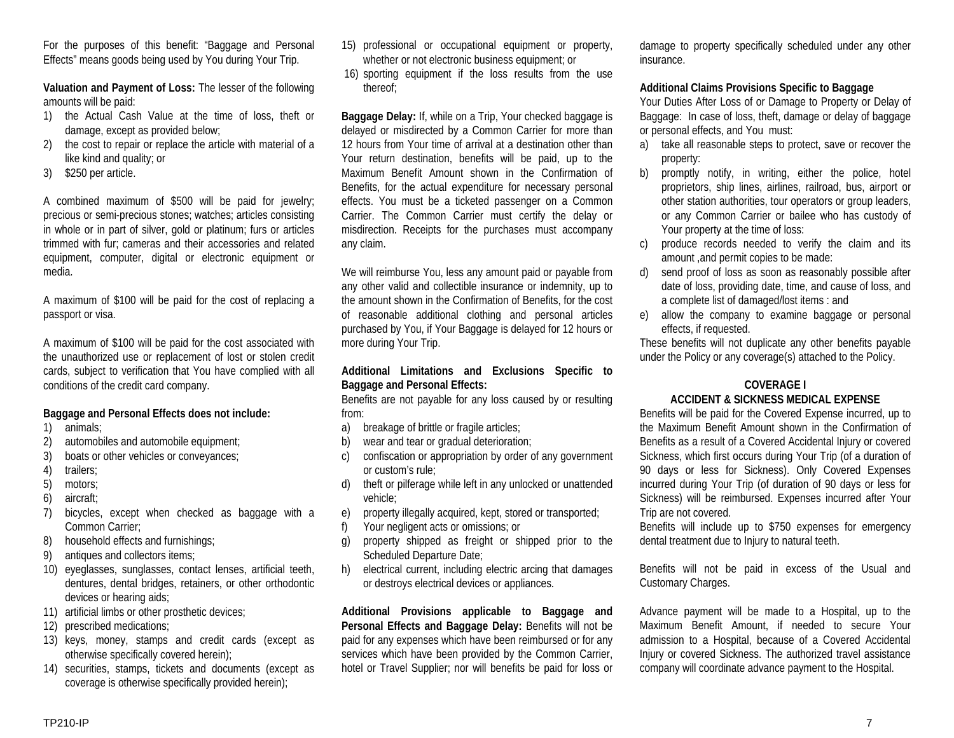For the purposes of this benefit: "Baggage and Personal Effects" means goods being used by You during Your Trip.

**Valuation and Payment of Loss:** The lesser of the following amounts will be paid:

- 1) the Actual Cash Value at the time of loss, theft or damage, except as provided below;
- 2) the cost to repair or replace the article with material of a like kind and quality; or
- 3) \$250 per article.

A combined maximum of \$500 will be paid for jewelry; precious or semi-precious stones; watches; articles consisting in whole or in part of silver, gold or platinum; furs or articles trimmed with fur; cameras and their accessories and related equipment, computer, digital or electronic equipment or media.

A maximum of \$100 will be paid for the cost of replacing a passport or visa.

A maximum of \$100 will be paid for the cost associated with the unauthorized use or replacement of lost or stolen credit cards, subject to verification that You have complied with all conditions of the credit card company.

## **Baggage and Personal Effects does not include:**

- 1) animals;
- 2) automobiles and automobile equipment;
- 3) boats or other vehicles or conveyances;
- 4) trailers;
- 5) motors;
- 6) aircraft;
- 7) bicycles, except when checked as baggage with a Common Carrier;
- 8) household effects and furnishings;
- 9) antiques and collectors items;
- 10) eyeglasses, sunglasses, contact lenses, artificial teeth, dentures, dental bridges, retainers, or other orthodontic devices or hearing aids;
- 11) artificial limbs or other prosthetic devices;
- 12) prescribed medications;
- 13) keys, money, stamps and credit cards (except as otherwise specifically covered herein);
- 14) securities, stamps, tickets and documents (except as coverage is otherwise specifically provided herein);
- 15) professional or occupational equipment or property, whether or not electronic business equipment; or
- 16) sporting equipment if the loss results from the use thereof;

**Baggage Delay:** If, while on a Trip, Your checked baggage is delayed or misdirected by a Common Carrier for more than 12 hours from Your time of arrival at a destination other than Your return destination, benefits will be paid, up to the Maximum Benefit Amount shown in the Confirmation of Benefits, for the actual expenditure for necessary personal effects. You must be a ticketed passenger on a Common Carrier. The Common Carrier must certify the delay or misdirection. Receipts for the purchases must accompany any claim.

We will reimburse You, less any amount paid or payable from any other valid and collectible insurance or indemnity, up to the amount shown in the Confirmation of Benefits, for the cost of reasonable additional clothing and personal articles purchased by You, if Your Baggage is delayed for 12 hours or more during Your Trip.

## **Additional Limitations and Exclusions Specific to Baggage and Personal Effects:**

Benefits are not payable for any loss caused by or resulting from:

- a) breakage of brittle or fragile articles;
- b) wear and tear or gradual deterioration;
- c) confiscation or appropriation by order of any government or custom's rule;
- d) theft or pilferage while left in any unlocked or unattended vehicle;
- e) property illegally acquired, kept, stored or transported;
- f) Your negligent acts or omissions; or
- g) property shipped as freight or shipped prior to the Scheduled Departure Date;
- h) electrical current, including electric arcing that damages or destroys electrical devices or appliances.

**Additional Provisions applicable to Baggage and Personal Effects and Baggage Delay:** Benefits will not be paid for any expenses which have been reimbursed or for any services which have been provided by the Common Carrier, hotel or Travel Supplier; nor will benefits be paid for loss or

damage to property specifically scheduled under any other insurance.

## **Additional Claims Provisions Specific to Baggage**

Your Duties After Loss of or Damage to Property or Delay of Baggage: In case of loss, theft, damage or delay of baggage or personal effects, and You must:

- a) take all reasonable steps to protect, save or recover the property:
- b) promptly notify, in writing, either the police, hotel proprietors, ship lines, airlines, railroad, bus, airport or other station authorities, tour operators or group leaders, or any Common Carrier or bailee who has custody of Your property at the time of loss:
- c) produce records needed to verify the claim and its amount ,and permit copies to be made:
- d) send proof of loss as soon as reasonably possible after date of loss, providing date, time, and cause of loss, and a complete list of damaged/lost items : and
- e) allow the company to examine baggage or personal effects, if requested.

These benefits will not duplicate any other benefits payable under the Policy or any coverage(s) attached to the Policy.

# **COVERAGE I**

## **ACCIDENT & SICKNESS MEDICAL EXPENSE**

Benefits will be paid for the Covered Expense incurred, up to the Maximum Benefit Amount shown in the Confirmation of Benefits as a result of a Covered Accidental Injury or covered Sickness, which first occurs during Your Trip (of a duration of 90 days or less for Sickness). Only Covered Expenses incurred during Your Trip (of duration of 90 days or less for Sickness) will be reimbursed. Expenses incurred after Your Trip are not covered.

Benefits will include up to \$750 expenses for emergency dental treatment due to Injury to natural teeth.

Benefits will not be paid in excess of the Usual and Customary Charges.

Advance payment will be made to a Hospital, up to the Maximum Benefit Amount, if needed to secure Your admission to a Hospital, because of a Covered Accidental Injury or covered Sickness. The authorized travel assistance company will coordinate advance payment to the Hospital.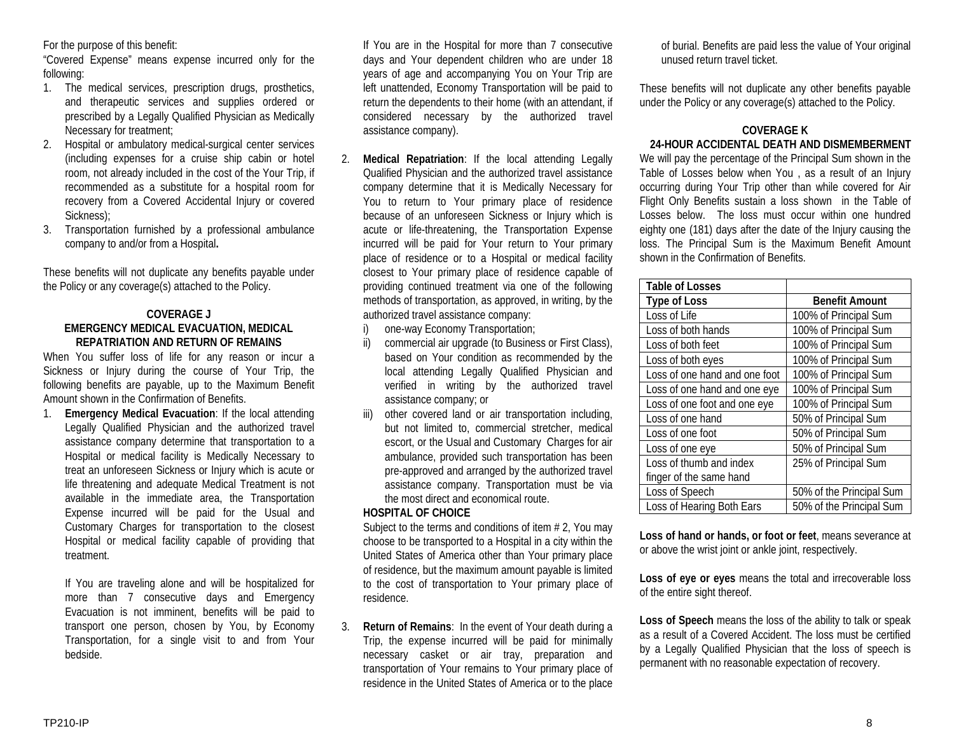For the purpose of this benefit:

"Covered Expense" means expense incurred only for the following:

- 1. The medical services, prescription drugs, prosthetics, and therapeutic services and supplies ordered or prescribed by a Legally Qualified Physician as Medically Necessary for treatment;
- 2. Hospital or ambulatory medical-surgical center services (including expenses for a cruise ship cabin or hotel room, not already included in the cost of the Your Trip, if recommended as a substitute for a hospital room for recovery from a Covered Accidental Injury or covered Sickness);
- 3. Transportation furnished by a professional ambulance company to and/or from a Hospital**.**

These benefits will not duplicate any benefits payable under the Policy or any coverage(s) attached to the Policy.

## **COVERAGE J EMERGENCY MEDICAL EVACUATION, MEDICAL REPATRIATION AND RETURN OF REMAINS**

When You suffer loss of life for any reason or incur a Sickness or Injury during the course of Your Trip, the following benefits are payable, up to the Maximum Benefit Amount shown in the Confirmation of Benefits.

1. **Emergency Medical Evacuation**: If the local attending Legally Qualified Physician and the authorized travel assistance company determine that transportation to a Hospital or medical facility is Medically Necessary to treat an unforeseen Sickness or Injury which is acute or life threatening and adequate Medical Treatment is not available in the immediate area, the Transportation Expense incurred will be paid for the Usual and Customary Charges for transportation to the closest Hospital or medical facility capable of providing that treatment.

If You are traveling alone and will be hospitalized for more than 7 consecutive days and Emergency Evacuation is not imminent, benefits will be paid to transport one person, chosen by You, by Economy Transportation, for a single visit to and from Your bedside.

If You are in the Hospital for more than 7 consecutive days and Your dependent children who are under 18 years of age and accompanying You on Your Trip are left unattended, Economy Transportation will be paid to return the dependents to their home (with an attendant, if considered necessary by the authorized travel assistance company).

- 2. **Medical Repatriation**: If the local attending Legally Qualified Physician and the authorized travel assistance company determine that it is Medically Necessary for You to return to Your primary place of residence because of an unforeseen Sickness or Injury which is acute or life-threatening, the Transportation Expense incurred will be paid for Your return to Your primary place of residence or to a Hospital or medical facility closest to Your primary place of residence capable of providing continued treatment via one of the following methods of transportation, as approved, in writing, by the authorized travel assistance company:
	- i) one-way Economy Transportation;
	- ii) commercial air upgrade (to Business or First Class), based on Your condition as recommended by the local attending Legally Qualified Physician and verified in writing by the authorized travel assistance company; or
	- iii) other covered land or air transportation including, but not limited to, commercial stretcher, medical escort, or the Usual and Customary Charges for air ambulance, provided such transportation has been pre-approved and arranged by the authorized travel assistance company. Transportation must be via the most direct and economical route.

## **HOSPITAL OF CHOICE**

Subject to the terms and conditions of item # 2, You may choose to be transported to a Hospital in a city within the United States of America other than Your primary place of residence, but the maximum amount payable is limited to the cost of transportation to Your primary place of residence.

3. **Return of Remains**: In the event of Your death during a Trip, the expense incurred will be paid for minimally necessary casket or air tray, preparation and transportation of Your remains to Your primary place of residence in the United States of America or to the place

of burial. Benefits are paid less the value of Your original unused return travel ticket.

These benefits will not duplicate any other benefits payable under the Policy or any coverage(s) attached to the Policy.

# **COVERAGE K 24-HOUR ACCIDENTAL DEATH AND DISMEMBERMENT**

We will pay the percentage of the Principal Sum shown in the Table of Losses below when You , as a result of an Injury occurring during Your Trip other than while covered for Air Flight Only Benefits sustain a loss shown in the Table of Losses below. The loss must occur within one hundred eighty one (181) days after the date of the Injury causing the loss. The Principal Sum is the Maximum Benefit Amount shown in the Confirmation of Benefits.

| <b>Table of Losses</b>        |                          |
|-------------------------------|--------------------------|
| <b>Type of Loss</b>           | <b>Benefit Amount</b>    |
| Loss of Life                  | 100% of Principal Sum    |
| Loss of both hands            | 100% of Principal Sum    |
| Loss of both feet             | 100% of Principal Sum    |
| Loss of both eyes             | 100% of Principal Sum    |
| Loss of one hand and one foot | 100% of Principal Sum    |
| Loss of one hand and one eye  | 100% of Principal Sum    |
| Loss of one foot and one eye  | 100% of Principal Sum    |
| Loss of one hand              | 50% of Principal Sum     |
| Loss of one foot              | 50% of Principal Sum     |
| Loss of one eye               | 50% of Principal Sum     |
| Loss of thumb and index       | 25% of Principal Sum     |
| finger of the same hand       |                          |
| Loss of Speech                | 50% of the Principal Sum |
| Loss of Hearing Both Ears     | 50% of the Principal Sum |

**Loss of hand or hands, or foot or feet**, means severance at or above the wrist joint or ankle joint, respectively.

**Loss of eye or eyes** means the total and irrecoverable loss of the entire sight thereof.

**Loss of Speech** means the loss of the ability to talk or speak as a result of a Covered Accident. The loss must be certified by a Legally Qualified Physician that the loss of speech is permanent with no reasonable expectation of recovery.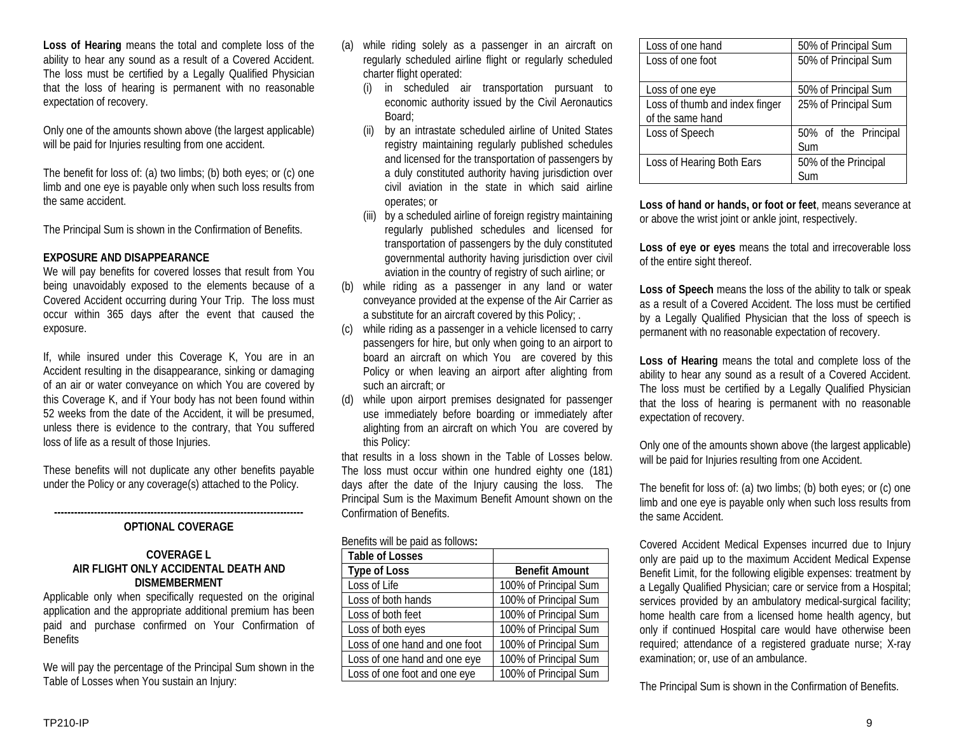**Loss of Hearing** means the total and complete loss of the ability to hear any sound as a result of a Covered Accident. The loss must be certified by a Legally Qualified Physician that the loss of hearing is permanent with no reasonable expectation of recovery.

Only one of the amounts shown above (the largest applicable) will be paid for Injuries resulting from one accident.

The benefit for loss of: (a) two limbs; (b) both eyes; or (c) one limb and one eye is payable only when such loss results from the same accident.

The Principal Sum is shown in the Confirmation of Benefits.

## **EXPOSURE AND DISAPPEARANCE**

We will pay benefits for covered losses that result from You being unavoidably exposed to the elements because of a Covered Accident occurring during Your Trip. The loss must occur within 365 days after the event that caused the exposure.

If, while insured under this Coverage K, You are in an Accident resulting in the disappearance, sinking or damaging of an air or water conveyance on which You are covered by this Coverage K, and if Your body has not been found within 52 weeks from the date of the Accident, it will be presumed, unless there is evidence to the contrary, that You suffered loss of life as a result of those Injuries.

These benefits will not duplicate any other benefits payable under the Policy or any coverage(s) attached to the Policy.

#### **--------------------------------------------------------------------------- OPTIONAL COVERAGE**

#### **COVERAGE L AIR FLIGHT ONLY ACCIDENTAL DEATH AND DISMEMBERMENT**

Applicable only when specifically requested on the original application and the appropriate additional premium has been paid and purchase confirmed on Your Confirmation of **Benefits** 

We will pay the percentage of the Principal Sum shown in the Table of Losses when You sustain an Injury:

- (a) while riding solely as a passenger in an aircraft on regularly scheduled airline flight or regularly scheduled charter flight operated:
	- (i) in scheduled air transportation pursuant to economic authority issued by the Civil Aeronautics Board;
	- (ii) by an intrastate scheduled airline of United States registry maintaining regularly published schedules and licensed for the transportation of passengers by a duly constituted authority having jurisdiction over civil aviation in the state in which said airline operates; or
	- (iii) by a scheduled airline of foreign registry maintaining regularly published schedules and licensed for transportation of passengers by the duly constituted governmental authority having jurisdiction over civil aviation in the country of registry of such airline; or
- (b) while riding as a passenger in any land or water conveyance provided at the expense of the Air Carrier as a substitute for an aircraft covered by this Policy; .
- (c) while riding as a passenger in a vehicle licensed to carry passengers for hire, but only when going to an airport to board an aircraft on which You are covered by this Policy or when leaving an airport after alighting from such an aircraft; or
- (d) while upon airport premises designated for passenger use immediately before boarding or immediately after alighting from an aircraft on which You are covered by this Policy:

that results in a loss shown in the Table of Losses below. The loss must occur within one hundred eighty one (181) days after the date of the Injury causing the loss. The Principal Sum is the Maximum Benefit Amount shown on the Confirmation of Benefits.

| <b>DOTIONIS WILL DO DUIG US TOITOWS.</b> |                       |  |
|------------------------------------------|-----------------------|--|
| <b>Table of Losses</b>                   |                       |  |
| <b>Type of Loss</b>                      | <b>Benefit Amount</b> |  |
| Loss of Life                             | 100% of Principal Sum |  |
| Loss of both hands                       | 100% of Principal Sum |  |
| Loss of both feet                        | 100% of Principal Sum |  |
| Loss of both eyes                        | 100% of Principal Sum |  |
| Loss of one hand and one foot            | 100% of Principal Sum |  |
| Loss of one hand and one eye             | 100% of Principal Sum |  |
| Loss of one foot and one eye             | 100% of Principal Sum |  |
|                                          |                       |  |

| Loss of one hand                                   | 50% of Principal Sum        |
|----------------------------------------------------|-----------------------------|
| Loss of one foot                                   | 50% of Principal Sum        |
| Loss of one eye                                    | 50% of Principal Sum        |
| Loss of thumb and index finger<br>of the same hand | 25% of Principal Sum        |
| Loss of Speech                                     | 50% of the Principal<br>Sum |
| Loss of Hearing Both Ears                          | 50% of the Principal<br>Sum |

**Loss of hand or hands, or foot or feet**, means severance at or above the wrist joint or ankle joint, respectively.

**Loss of eye or eyes** means the total and irrecoverable loss of the entire sight thereof.

**Loss of Speech** means the loss of the ability to talk or speak as a result of a Covered Accident. The loss must be certified by a Legally Qualified Physician that the loss of speech is permanent with no reasonable expectation of recovery.

**Loss of Hearing** means the total and complete loss of the ability to hear any sound as a result of a Covered Accident. The loss must be certified by a Legally Qualified Physician that the loss of hearing is permanent with no reasonable expectation of recovery.

Only one of the amounts shown above (the largest applicable) will be paid for Injuries resulting from one Accident.

The benefit for loss of: (a) two limbs; (b) both eyes; or (c) one limb and one eye is payable only when such loss results from the same Accident.

Covered Accident Medical Expenses incurred due to Injury only are paid up to the maximum Accident Medical Expense Benefit Limit, for the following eligible expenses: treatment by a Legally Qualified Physician; care or service from a Hospital; services provided by an ambulatory medical-surgical facility; home health care from a licensed home health agency, but only if continued Hospital care would have otherwise been required; attendance of a registered graduate nurse; X-ray examination; or, use of an ambulance.

The Principal Sum is shown in the Confirmation of Benefits.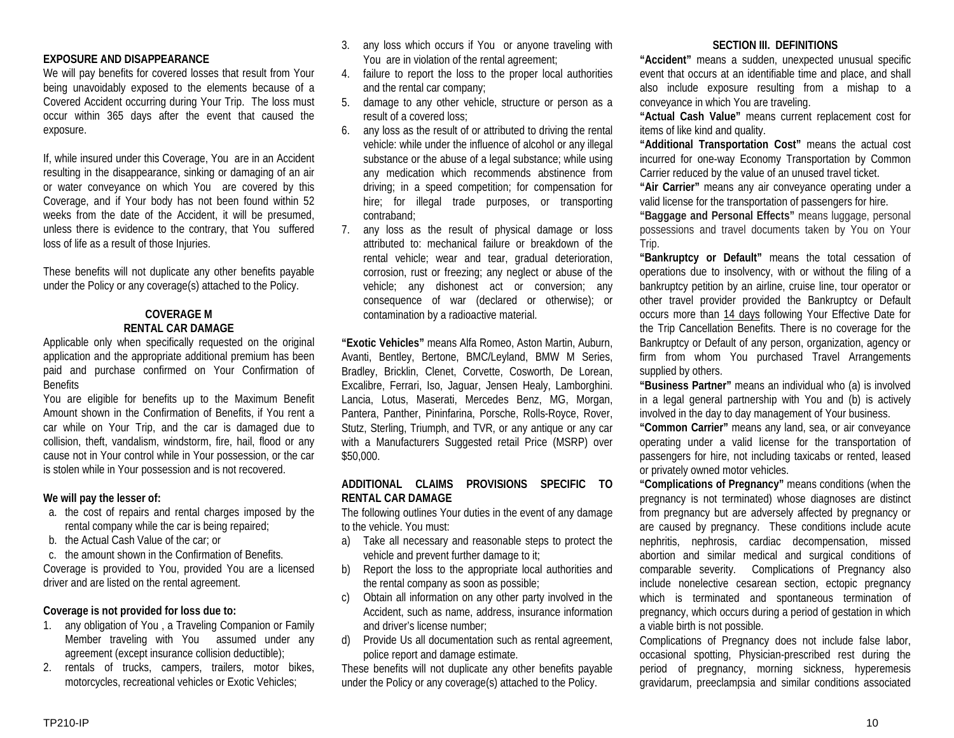#### **EXPOSURE AND DISAPPEARANCE**

We will pay benefits for covered losses that result from Your being unavoidably exposed to the elements because of a Covered Accident occurring during Your Trip. The loss must occur within 365 days after the event that caused the exposure.

If, while insured under this Coverage, You are in an Accident resulting in the disappearance, sinking or damaging of an air or water conveyance on which You are covered by this Coverage, and if Your body has not been found within 52 weeks from the date of the Accident, it will be presumed, unless there is evidence to the contrary, that You suffered loss of life as a result of those Injuries.

These benefits will not duplicate any other benefits payable under the Policy or any coverage(s) attached to the Policy.

## **COVERAGE M RENTAL CAR DAMAGE**

Applicable only when specifically requested on the original application and the appropriate additional premium has been paid and purchase confirmed on Your Confirmation of **Benefits** 

You are eligible for benefits up to the Maximum Benefit Amount shown in the Confirmation of Benefits, if You rent a car while on Your Trip, and the car is damaged due to collision, theft, vandalism, windstorm, fire, hail, flood or any cause not in Your control while in Your possession, or the car is stolen while in Your possession and is not recovered.

#### **We will pay the lesser of:**

- a. the cost of repairs and rental charges imposed by the rental company while the car is being repaired;
- b. the Actual Cash Value of the car; or
- c. the amount shown in the Confirmation of Benefits.

Coverage is provided to You, provided You are a licensed driver and are listed on the rental agreement.

#### **Coverage is not provided for loss due to:**

- 1. any obligation of You , a Traveling Companion or Family Member traveling with You assumed under any agreement (except insurance collision deductible);
- 2. rentals of trucks, campers, trailers, motor bikes, motorcycles, recreational vehicles or Exotic Vehicles;
- 3. any loss which occurs if You or anyone traveling with You are in violation of the rental agreement;
- 4. failure to report the loss to the proper local authorities and the rental car company;
- 5. damage to any other vehicle, structure or person as a result of a covered loss;
- 6. any loss as the result of or attributed to driving the rental vehicle: while under the influence of alcohol or any illegal substance or the abuse of a legal substance; while using any medication which recommends abstinence from driving; in a speed competition; for compensation for hire; for illegal trade purposes, or transporting contraband;
- 7. any loss as the result of physical damage or loss attributed to: mechanical failure or breakdown of the rental vehicle; wear and tear, gradual deterioration, corrosion, rust or freezing; any neglect or abuse of the vehicle; any dishonest act or conversion; any consequence of war (declared or otherwise); or contamination by a radioactive material.

**"Exotic Vehicles"** means Alfa Romeo, Aston Martin, Auburn, Avanti, Bentley, Bertone, BMC/Leyland, BMW M Series, Bradley, Bricklin, Clenet, Corvette, Cosworth, De Lorean, Excalibre, Ferrari, Iso, Jaguar, Jensen Healy, Lamborghini. Lancia, Lotus, Maserati, Mercedes Benz, MG, Morgan, Pantera, Panther, Pininfarina, Porsche, Rolls-Royce, Rover, Stutz, Sterling, Triumph, and TVR, or any antique or any car with a Manufacturers Suggested retail Price (MSRP) over \$50,000.

#### **ADDITIONAL CLAIMS PROVISIONS SPECIFIC TO RENTAL CAR DAMAGE**

The following outlines Your duties in the event of any damage to the vehicle. You must:

- a) Take all necessary and reasonable steps to protect the vehicle and prevent further damage to it;
- b) Report the loss to the appropriate local authorities and the rental company as soon as possible;
- c) Obtain all information on any other party involved in the Accident, such as name, address, insurance information and driver's license number;
- d) Provide Us all documentation such as rental agreement, police report and damage estimate.

These benefits will not duplicate any other benefits payable under the Policy or any coverage(s) attached to the Policy.

## **SECTION III. DEFINITIONS**

**"Accident"** means a sudden, unexpected unusual specific event that occurs at an identifiable time and place, and shall also include exposure resulting from a mishap to a conveyance in which You are traveling.

**"Actual Cash Value"** means current replacement cost for items of like kind and quality.

**"Additional Transportation Cost"** means the actual cost incurred for one-way Economy Transportation by Common Carrier reduced by the value of an unused travel ticket.

**"Air Carrier"** means any air conveyance operating under a valid license for the transportation of passengers for hire.

**"Baggage and Personal Effects"** means luggage, personal possessions and travel documents taken by You on Your Trip.

**"Bankruptcy or Default"** means the total cessation of operations due to insolvency, with or without the filing of a bankruptcy petition by an airline, cruise line, tour operator or other travel provider provided the Bankruptcy or Default occurs more than 14 days following Your Effective Date for the Trip Cancellation Benefits. There is no coverage for the Bankruptcy or Default of any person, organization, agency or firm from whom You purchased Travel Arrangements supplied by others.

**"Business Partner"** means an individual who (a) is involved in a legal general partnership with You and (b) is actively involved in the day to day management of Your business.

**"Common Carrier"** means any land, sea, or air conveyance operating under a valid license for the transportation of passengers for hire, not including taxicabs or rented, leased or privately owned motor vehicles.

**"Complications of Pregnancy"** means conditions (when the pregnancy is not terminated) whose diagnoses are distinct from pregnancy but are adversely affected by pregnancy or are caused by pregnancy. These conditions include acute nephritis, nephrosis, cardiac decompensation, missed abortion and similar medical and surgical conditions of comparable severity. Complications of Pregnancy also include nonelective cesarean section, ectopic pregnancy which is terminated and spontaneous termination of pregnancy, which occurs during a period of gestation in which a viable birth is not possible.

Complications of Pregnancy does not include false labor, occasional spotting, Physician-prescribed rest during the period of pregnancy, morning sickness, hyperemesis gravidarum, preeclampsia and similar conditions associated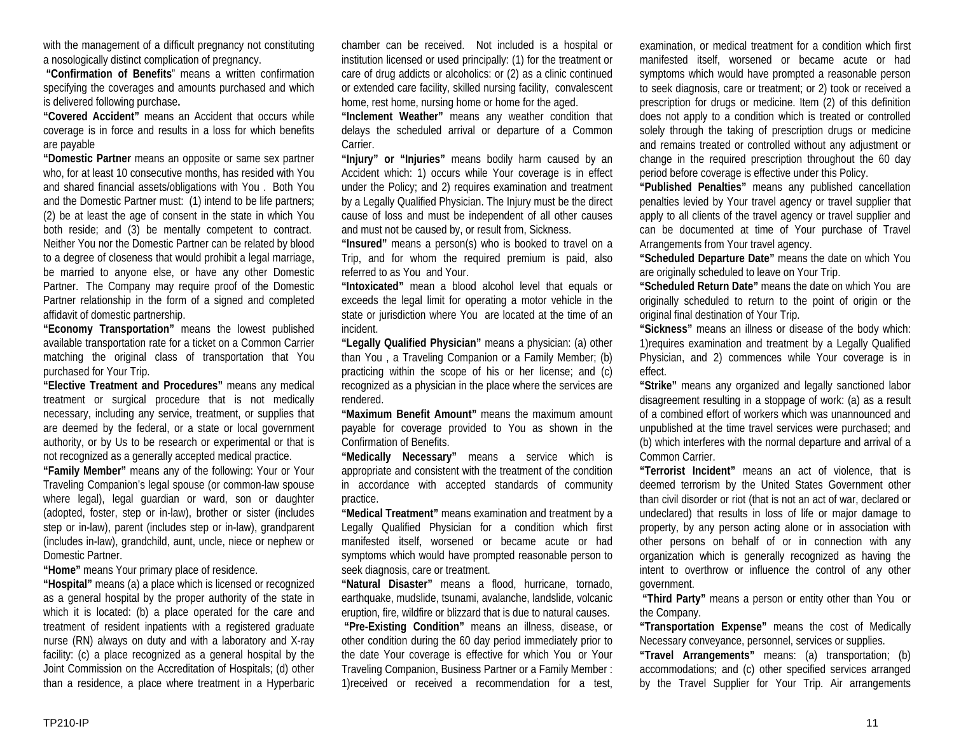with the management of a difficult pregnancy not constituting a nosologically distinct complication of pregnancy.

**"Confirmation of Benefits**" means a written confirmation specifying the coverages and amounts purchased and which is delivered following purchase**.**

**"Covered Accident"** means an Accident that occurs while coverage is in force and results in a loss for which benefits are payable

**"Domestic Partner** means an opposite or same sex partner who, for at least 10 consecutive months, has resided with You and shared financial assets/obligations with You . Both You and the Domestic Partner must: (1) intend to be life partners; (2) be at least the age of consent in the state in which You both reside; and (3) be mentally competent to contract. Neither You nor the Domestic Partner can be related by blood to a degree of closeness that would prohibit a legal marriage, be married to anyone else, or have any other Domestic Partner. The Company may require proof of the Domestic Partner relationship in the form of a signed and completed affidavit of domestic partnership.

**"Economy Transportation"** means the lowest published available transportation rate for a ticket on a Common Carrier matching the original class of transportation that You purchased for Your Trip.

**"Elective Treatment and Procedures"** means any medical treatment or surgical procedure that is not medically necessary, including any service, treatment, or supplies that are deemed by the federal, or a state or local government authority, or by Us to be research or experimental or that is not recognized as a generally accepted medical practice.

**"Family Member"** means any of the following: Your or Your Traveling Companion's legal spouse (or common-law spouse where legal), legal guardian or ward, son or daughter (adopted, foster, step or in-law), brother or sister (includes step or in-law), parent (includes step or in-law), grandparent (includes in-law), grandchild, aunt, uncle, niece or nephew or Domestic Partner.

**"Home"** means Your primary place of residence.

**"Hospital"** means (a) a place which is licensed or recognized as a general hospital by the proper authority of the state in which it is located: (b) a place operated for the care and treatment of resident inpatients with a registered graduate nurse (RN) always on duty and with a laboratory and X-ray facility: (c) a place recognized as a general hospital by the Joint Commission on the Accreditation of Hospitals; (d) other than a residence, a place where treatment in a Hyperbaric

chamber can be received. Not included is a hospital or institution licensed or used principally: (1) for the treatment or care of drug addicts or alcoholics: or (2) as a clinic continued or extended care facility, skilled nursing facility, convalescent home, rest home, nursing home or home for the aged.

**"Inclement Weather"** means any weather condition that delays the scheduled arrival or departure of a Common Carrier.

**"Injury" or "Injuries"** means bodily harm caused by an Accident which: 1) occurs while Your coverage is in effect under the Policy; and 2) requires examination and treatment by a Legally Qualified Physician. The Injury must be the direct cause of loss and must be independent of all other causes and must not be caused by, or result from, Sickness.

**"Insured"** means a person(s) who is booked to travel on a Trip, and for whom the required premium is paid, also referred to as You and Your.

**"Intoxicated"** mean a blood alcohol level that equals or exceeds the legal limit for operating a motor vehicle in the state or jurisdiction where You are located at the time of an incident.

**"Legally Qualified Physician"** means a physician: (a) other than You , a Traveling Companion or a Family Member; (b) practicing within the scope of his or her license; and (c) recognized as a physician in the place where the services are rendered.

**"Maximum Benefit Amount"** means the maximum amount payable for coverage provided to You as shown in the Confirmation of Benefits.

**"Medically Necessary"** means a service which is appropriate and consistent with the treatment of the condition in accordance with accepted standards of community practice.

**"Medical Treatment"** means examination and treatment by a Legally Qualified Physician for a condition which first manifested itself, worsened or became acute or had symptoms which would have prompted reasonable person to seek diagnosis, care or treatment.

**"Natural Disaster"** means a flood, hurricane, tornado, earthquake, mudslide, tsunami, avalanche, landslide, volcanic eruption, fire, wildfire or blizzard that is due to natural causes.

**"Pre-Existing Condition"** means an illness, disease, or other condition during the 60 day period immediately prior to the date Your coverage is effective for which You or Your Traveling Companion, Business Partner or a Family Member : 1)received or received a recommendation for a test,

examination, or medical treatment for a condition which first manifested itself, worsened or became acute or had symptoms which would have prompted a reasonable person to seek diagnosis, care or treatment; or 2) took or received a prescription for drugs or medicine. Item (2) of this definition does not apply to a condition which is treated or controlled solely through the taking of prescription drugs or medicine and remains treated or controlled without any adjustment or change in the required prescription throughout the 60 day period before coverage is effective under this Policy.

**"Published Penalties"** means any published cancellation penalties levied by Your travel agency or travel supplier that apply to all clients of the travel agency or travel supplier and can be documented at time of Your purchase of Travel Arrangements from Your travel agency.

**"Scheduled Departure Date"** means the date on which You are originally scheduled to leave on Your Trip.

**"Scheduled Return Date"** means the date on which You are originally scheduled to return to the point of origin or the original final destination of Your Trip.

**"Sickness"** means an illness or disease of the body which: 1)requires examination and treatment by a Legally Qualified Physician, and 2) commences while Your coverage is in effect.

**"Strike"** means any organized and legally sanctioned labor disagreement resulting in a stoppage of work: (a) as a result of a combined effort of workers which was unannounced and unpublished at the time travel services were purchased; and (b) which interferes with the normal departure and arrival of a Common Carrier.

**"Terrorist Incident"** means an act of violence, that is deemed terrorism by the United States Government other than civil disorder or riot (that is not an act of war, declared or undeclared) that results in loss of life or major damage to property, by any person acting alone or in association with other persons on behalf of or in connection with any organization which is generally recognized as having the intent to overthrow or influence the control of any other government.

**"Third Party"** means a person or entity other than You or the Company.

**"Transportation Expense"** means the cost of Medically Necessary conveyance, personnel, services or supplies.

**"Travel Arrangements"** means: (a) transportation; (b) accommodations; and (c) other specified services arranged by the Travel Supplier for Your Trip. Air arrangements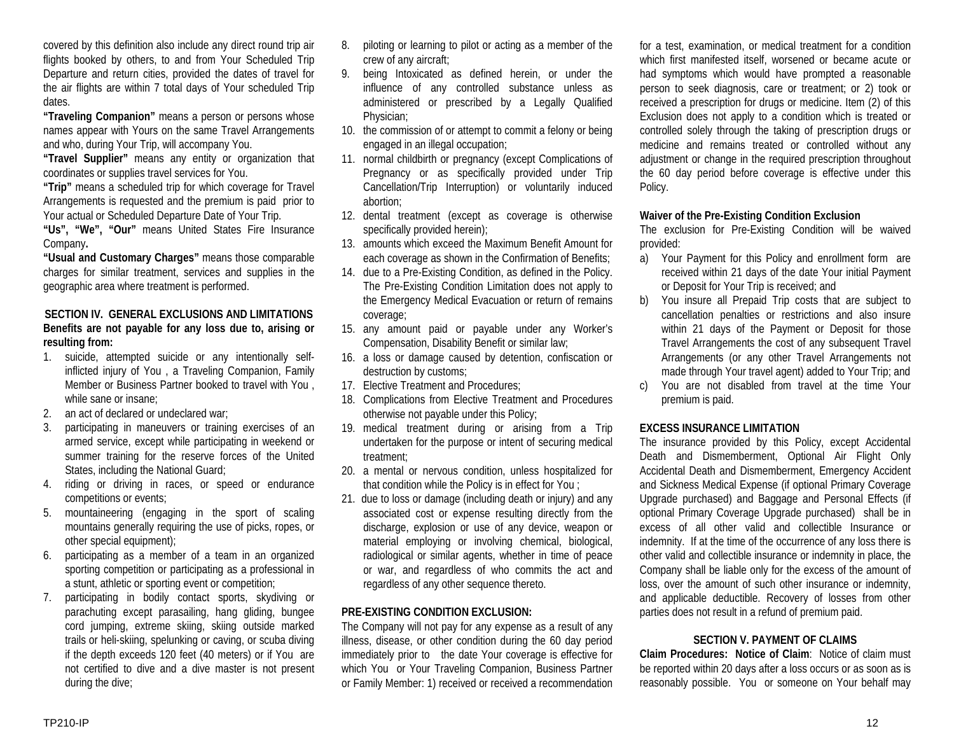covered by this definition also include any direct round trip air flights booked by others, to and from Your Scheduled Trip Departure and return cities, provided the dates of travel for the air flights are within 7 total days of Your scheduled Trip dates.

**"Traveling Companion"** means a person or persons whose names appear with Yours on the same Travel Arrangements and who, during Your Trip, will accompany You.

**"Travel Supplier"** means any entity or organization that coordinates or supplies travel services for You.

**"Trip"** means a scheduled trip for which coverage for Travel Arrangements is requested and the premium is paid prior to Your actual or Scheduled Departure Date of Your Trip.

**"Us", "We", "Our"** means United States Fire Insurance Company**.**

**"Usual and Customary Charges"** means those comparable charges for similar treatment, services and supplies in the geographic area where treatment is performed.

## **SECTION IV. GENERAL EXCLUSIONS AND LIMITATIONS Benefits are not payable for any loss due to, arising or resulting from:**

- 1. suicide, attempted suicide or any intentionally selfinflicted injury of You , a Traveling Companion, Family Member or Business Partner booked to travel with You , while sane or insane;
- 2. an act of declared or undeclared war;
- 3. participating in maneuvers or training exercises of an armed service, except while participating in weekend or summer training for the reserve forces of the United States, including the National Guard;
- 4. riding or driving in races, or speed or endurance competitions or events;
- 5. mountaineering (engaging in the sport of scaling mountains generally requiring the use of picks, ropes, or other special equipment);
- 6. participating as a member of a team in an organized sporting competition or participating as a professional in a stunt, athletic or sporting event or competition;
- 7. participating in bodily contact sports, skydiving or parachuting except parasailing, hang gliding, bungee cord jumping, extreme skiing, skiing outside marked trails or heli-skiing, spelunking or caving, or scuba diving if the depth exceeds 120 feet (40 meters) or if You are not certified to dive and a dive master is not present during the dive;
- 8. piloting or learning to pilot or acting as a member of the crew of any aircraft;
- 9. being Intoxicated as defined herein, or under the influence of any controlled substance unless as administered or prescribed by a Legally Qualified Physician;
- 10. the commission of or attempt to commit a felony or being engaged in an illegal occupation;
- 11. normal childbirth or pregnancy (except Complications of Pregnancy or as specifically provided under Trip Cancellation/Trip Interruption) or voluntarily induced abortion;
- 12. dental treatment (except as coverage is otherwise specifically provided herein);
- 13. amounts which exceed the Maximum Benefit Amount for each coverage as shown in the Confirmation of Benefits;
- 14. due to a Pre-Existing Condition, as defined in the Policy. The Pre-Existing Condition Limitation does not apply to the Emergency Medical Evacuation or return of remains coverage;
- 15. any amount paid or payable under any Worker's Compensation, Disability Benefit or similar law;
- 16. a loss or damage caused by detention, confiscation or destruction by customs;
- 17. Elective Treatment and Procedures;
- 18. Complications from Elective Treatment and Procedures otherwise not payable under this Policy;
- 19. medical treatment during or arising from a Trip undertaken for the purpose or intent of securing medical treatment;
- 20. a mental or nervous condition, unless hospitalized for that condition while the Policy is in effect for You ;
- 21. due to loss or damage (including death or injury) and any associated cost or expense resulting directly from the discharge, explosion or use of any device, weapon or material employing or involving chemical, biological, radiological or similar agents, whether in time of peace or war, and regardless of who commits the act and regardless of any other sequence thereto.

## **PRE-EXISTING CONDITION EXCLUSION:**

The Company will not pay for any expense as a result of any illness, disease, or other condition during the 60 day period immediately prior to the date Your coverage is effective for which You or Your Traveling Companion, Business Partner or Family Member: 1) received or received a recommendation

for a test, examination, or medical treatment for a condition which first manifested itself, worsened or became acute or had symptoms which would have prompted a reasonable person to seek diagnosis, care or treatment; or 2) took or received a prescription for drugs or medicine. Item (2) of this Exclusion does not apply to a condition which is treated or controlled solely through the taking of prescription drugs or medicine and remains treated or controlled without any adjustment or change in the required prescription throughout the 60 day period before coverage is effective under this Policy.

## **Waiver of the Pre-Existing Condition Exclusion**

The exclusion for Pre-Existing Condition will be waived provided:

- a) Your Payment for this Policy and enrollment form are received within 21 days of the date Your initial Payment or Deposit for Your Trip is received; and
- b) You insure all Prepaid Trip costs that are subject to cancellation penalties or restrictions and also insure within 21 days of the Payment or Deposit for those Travel Arrangements the cost of any subsequent Travel Arrangements (or any other Travel Arrangements not made through Your travel agent) added to Your Trip; and
- c) You are not disabled from travel at the time Your premium is paid.

## **EXCESS INSURANCE LIMITATION**

The insurance provided by this Policy, except Accidental Death and Dismemberment, Optional Air Flight Only Accidental Death and Dismemberment, Emergency Accident and Sickness Medical Expense (if optional Primary Coverage Upgrade purchased) and Baggage and Personal Effects (if optional Primary Coverage Upgrade purchased) shall be in excess of all other valid and collectible Insurance or indemnity. If at the time of the occurrence of any loss there is other valid and collectible insurance or indemnity in place, the Company shall be liable only for the excess of the amount of loss, over the amount of such other insurance or indemnity, and applicable deductible. Recovery of losses from other parties does not result in a refund of premium paid.

#### **SECTION V. PAYMENT OF CLAIMS**

**Claim Procedures: Notice of Claim**: Notice of claim must be reported within 20 days after a loss occurs or as soon as is reasonably possible. You or someone on Your behalf may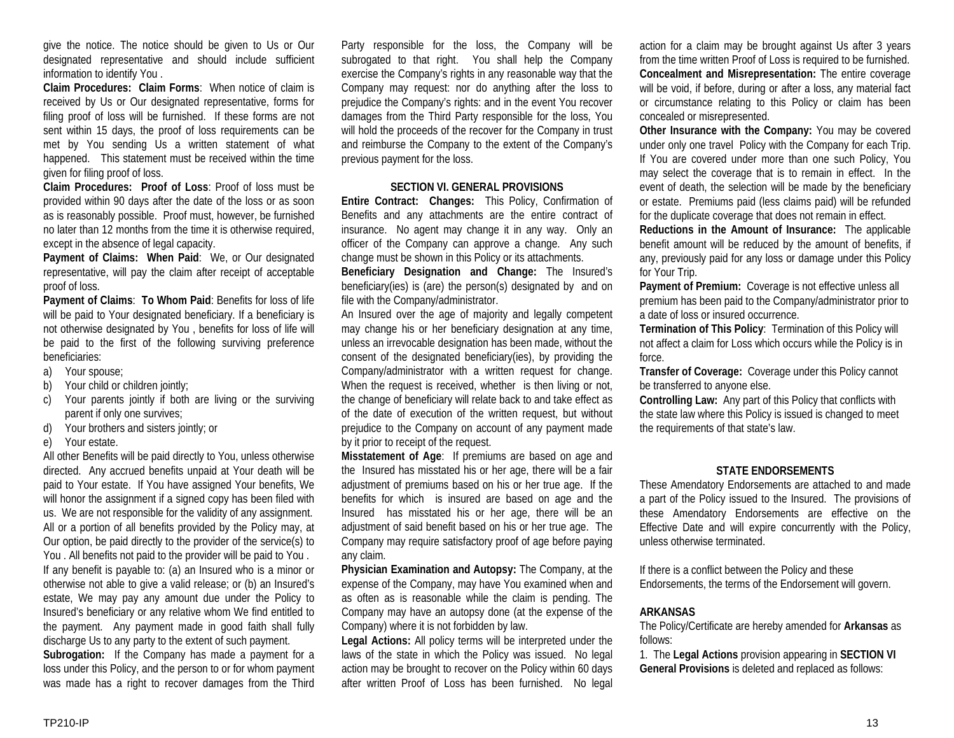give the notice. The notice should be given to Us or Our designated representative and should include sufficient information to identify You .

**Claim Procedures: Claim Forms**: When notice of claim is received by Us or Our designated representative, forms for filing proof of loss will be furnished. If these forms are not sent within 15 days, the proof of loss requirements can be met by You sending Us a written statement of what happened. This statement must be received within the time given for filing proof of loss.

**Claim Procedures: Proof of Loss**: Proof of loss must be provided within 90 days after the date of the loss or as soon as is reasonably possible. Proof must, however, be furnished no later than 12 months from the time it is otherwise required, except in the absence of legal capacity.

**Payment of Claims: When Paid**: We, or Our designated representative, will pay the claim after receipt of acceptable proof of loss.

**Payment of Claims**: **To Whom Paid**: Benefits for loss of life will be paid to Your designated beneficiary. If a beneficiary is not otherwise designated by You , benefits for loss of life will be paid to the first of the following surviving preference beneficiaries:

- a) Your spouse;
- b) Your child or children jointly:
- c) Your parents jointly if both are living or the surviving parent if only one survives;
- d) Your brothers and sisters jointly; or
- e) Your estate.

All other Benefits will be paid directly to You, unless otherwise directed. Any accrued benefits unpaid at Your death will be paid to Your estate. If You have assigned Your benefits, We will honor the assignment if a signed copy has been filed with us. We are not responsible for the validity of any assignment. All or a portion of all benefits provided by the Policy may, at Our option, be paid directly to the provider of the service(s) to You . All benefits not paid to the provider will be paid to You . If any benefit is payable to: (a) an Insured who is a minor or otherwise not able to give a valid release; or (b) an Insured's estate, We may pay any amount due under the Policy to Insured's beneficiary or any relative whom We find entitled to the payment. Any payment made in good faith shall fully discharge Us to any party to the extent of such payment.

**Subrogation:** If the Company has made a payment for a loss under this Policy, and the person to or for whom payment was made has a right to recover damages from the Third

Party responsible for the loss, the Company will be subrogated to that right. You shall help the Company exercise the Company's rights in any reasonable way that the Company may request: nor do anything after the loss to prejudice the Company's rights: and in the event You recover damages from the Third Party responsible for the loss, You will hold the proceeds of the recover for the Company in trust and reimburse the Company to the extent of the Company's previous payment for the loss.

#### **SECTION VI. GENERAL PROVISIONS**

**Entire Contract: Changes:** This Policy, Confirmation of Benefits and any attachments are the entire contract of insurance. No agent may change it in any way. Only an officer of the Company can approve a change. Any such change must be shown in this Policy or its attachments.

**Beneficiary Designation and Change:** The Insured's beneficiary(ies) is (are) the person(s) designated by and on file with the Company/administrator.

An Insured over the age of majority and legally competent may change his or her beneficiary designation at any time, unless an irrevocable designation has been made, without the consent of the designated beneficiary(ies), by providing the Company/administrator with a written request for change. When the request is received, whether is then living or not, the change of beneficiary will relate back to and take effect as of the date of execution of the written request, but without prejudice to the Company on account of any payment made by it prior to receipt of the request.

**Misstatement of Age**: If premiums are based on age and the Insured has misstated his or her age, there will be a fair adjustment of premiums based on his or her true age. If the benefits for which is insured are based on age and the Insured has misstated his or her age, there will be an adjustment of said benefit based on his or her true age. The Company may require satisfactory proof of age before paying any claim.

**Physician Examination and Autopsy:** The Company, at the expense of the Company, may have You examined when and as often as is reasonable while the claim is pending. The Company may have an autopsy done (at the expense of the Company) where it is not forbidden by law.

**Legal Actions:** All policy terms will be interpreted under the laws of the state in which the Policy was issued. No legal action may be brought to recover on the Policy within 60 days after written Proof of Loss has been furnished. No legal

action for a claim may be brought against Us after 3 years from the time written Proof of Loss is required to be furnished. **Concealment and Misrepresentation:** The entire coverage will be void, if before, during or after a loss, any material fact or circumstance relating to this Policy or claim has been concealed or misrepresented.

**Other Insurance with the Company:** You may be covered under only one travel Policy with the Company for each Trip. If You are covered under more than one such Policy, You may select the coverage that is to remain in effect. In the event of death, the selection will be made by the beneficiary or estate. Premiums paid (less claims paid) will be refunded for the duplicate coverage that does not remain in effect.

**Reductions in the Amount of Insurance:** The applicable benefit amount will be reduced by the amount of benefits, if any, previously paid for any loss or damage under this Policy for Your Trip.

**Payment of Premium:** Coverage is not effective unless all premium has been paid to the Company/administrator prior to a date of loss or insured occurrence.

**Termination of This Policy**: Termination of this Policy will not affect a claim for Loss which occurs while the Policy is in force.

**Transfer of Coverage:** Coverage under this Policy cannot be transferred to anyone else.

**Controlling Law:** Any part of this Policy that conflicts with the state law where this Policy is issued is changed to meet the requirements of that state's law.

#### **STATE ENDORSEMENTS**

These Amendatory Endorsements are attached to and made a part of the Policy issued to the Insured. The provisions of these Amendatory Endorsements are effective on the Effective Date and will expire concurrently with the Policy, unless otherwise terminated.

If there is a conflict between the Policy and these Endorsements, the terms of the Endorsement will govern.

#### **ARKANSAS**

The Policy/Certificate are hereby amended for **Arkansas** as follows:

1. The **Legal Actions** provision appearing in **SECTION VI General Provisions** is deleted and replaced as follows: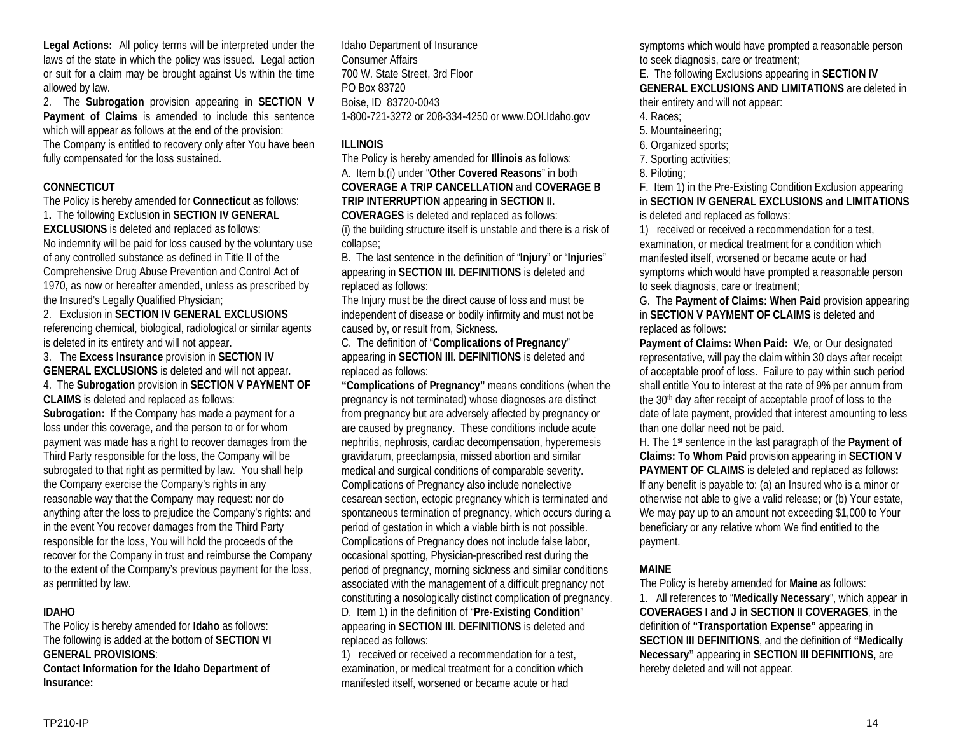**Legal Actions:** All policy terms will be interpreted under the laws of the state in which the policy was issued. Legal action or suit for a claim may be brought against Us within the time allowed by law.

2. The **Subrogation** provision appearing in **SECTION V Payment of Claims** is amended to include this sentence which will appear as follows at the end of the provision: The Company is entitled to recovery only after You have been fully compensated for the loss sustained.

## **CONNECTICUT**

The Policy is hereby amended for **Connecticut** as follows: 1**.** The following Exclusion in **SECTION IV GENERAL EXCLUSIONS** is deleted and replaced as follows: No indemnity will be paid for loss caused by the voluntary use of any controlled substance as defined in Title II of the Comprehensive Drug Abuse Prevention and Control Act of 1970, as now or hereafter amended, unless as prescribed by the Insured's Legally Qualified Physician;

2. Exclusion in **SECTION IV GENERAL EXCLUSIONS** referencing chemical, biological, radiological or similar agents is deleted in its entirety and will not appear.

3. The **Excess Insurance** provision in **SECTION IV GENERAL EXCLUSIONS** is deleted and will not appear.

4. The **Subrogation** provision in **SECTION V PAYMENT OF CLAIMS** is deleted and replaced as follows: **Subrogation:** If the Company has made a payment for a loss under this coverage, and the person to or for whom payment was made has a right to recover damages from the Third Party responsible for the loss, the Company will be subrogated to that right as permitted by law. You shall help the Company exercise the Company's rights in any reasonable way that the Company may request: nor do anything after the loss to prejudice the Company's rights: and in the event You recover damages from the Third Party responsible for the loss, You will hold the proceeds of the recover for the Company in trust and reimburse the Company to the extent of the Company's previous payment for the loss, as permitted by law.

# **IDAHO**

The Policy is hereby amended for **Idaho** as follows: The following is added at the bottom of **SECTION VI GENERAL PROVISIONS**: **Contact Information for the Idaho Department of** 

**Insurance:**

Idaho Department of Insurance Consumer Affairs 700 W. State Street, 3rd Floor PO Box 83720 Boise, ID 83720-0043 1-800-721-3272 or 208-334-4250 or www.DOI.Idaho.gov

# **ILLINOIS**

The Policy is hereby amended for **Illinois** as follows: A. Item b.(i) under "**Other Covered Reasons**" in both **COVERAGE A TRIP CANCELLATION** and **COVERAGE B TRIP INTERRUPTION** appearing in **SECTION II. COVERAGES** is deleted and replaced as follows: (i) the building structure itself is unstable and there is a risk of collapse;

B. The last sentence in the definition of "**Injury**" or "**Injuries**" appearing in **SECTION III. DEFINITIONS** is deleted and replaced as follows:

The Injury must be the direct cause of loss and must be independent of disease or bodily infirmity and must not be caused by, or result from, Sickness.

C. The definition of "**Complications of Pregnancy**" appearing in **SECTION III. DEFINITIONS** is deleted and replaced as follows:

**"Complications of Pregnancy"** means conditions (when the pregnancy is not terminated) whose diagnoses are distinct from pregnancy but are adversely affected by pregnancy or are caused by pregnancy. These conditions include acute nephritis, nephrosis, cardiac decompensation, hyperemesis gravidarum, preeclampsia, missed abortion and similar medical and surgical conditions of comparable severity. Complications of Pregnancy also include nonelective cesarean section, ectopic pregnancy which is terminated and spontaneous termination of pregnancy, which occurs during a period of gestation in which a viable birth is not possible. Complications of Pregnancy does not include false labor, occasional spotting, Physician-prescribed rest during the period of pregnancy, morning sickness and similar conditions associated with the management of a difficult pregnancy not constituting a nosologically distinct complication of pregnancy. D. Item 1) in the definition of "**Pre-Existing Condition**" appearing in **SECTION III. DEFINITIONS** is deleted and replaced as follows:

1) received or received a recommendation for a test, examination, or medical treatment for a condition which manifested itself, worsened or became acute or had

symptoms which would have prompted a reasonable person to seek diagnosis, care or treatment;

E. The following Exclusions appearing in **SECTION IV** 

**GENERAL EXCLUSIONS AND LIMITATIONS** are deleted in

their entirety and will not appear:

- 4. Races;
- 5. Mountaineering;
- 6. Organized sports;
- 7. Sporting activities;
- 8. Piloting;

F. Item 1) in the Pre-Existing Condition Exclusion appearing in **SECTION IV GENERAL EXCLUSIONS and LIMITATIONS** is deleted and replaced as follows:

1) received or received a recommendation for a test, examination, or medical treatment for a condition which manifested itself, worsened or became acute or had symptoms which would have prompted a reasonable person to seek diagnosis, care or treatment;

G. The **Payment of Claims: When Paid** provision appearing in **SECTION V PAYMENT OF CLAIMS** is deleted and replaced as follows:

**Payment of Claims: When Paid:** We, or Our designated representative, will pay the claim within 30 days after receipt of acceptable proof of loss. Failure to pay within such period shall entitle You to interest at the rate of 9% per annum from the 30<sup>th</sup> day after receipt of acceptable proof of loss to the date of late payment, provided that interest amounting to less than one dollar need not be paid.

H. The 1st sentence in the last paragraph of the **Payment of Claims: To Whom Paid** provision appearing in **SECTION V PAYMENT OF CLAIMS** is deleted and replaced as follows**:** If any benefit is payable to: (a) an Insured who is a minor or otherwise not able to give a valid release; or (b) Your estate, We may pay up to an amount not exceeding \$1,000 to Your beneficiary or any relative whom We find entitled to the payment.

# **MAINE**

The Policy is hereby amended for **Maine** as follows: 1. All references to "**Medically Necessary**", which appear in **COVERAGES I and J in SECTION II COVERAGES**, in the definition of **"Transportation Expense"** appearing in **SECTION III DEFINITIONS**, and the definition of **"Medically Necessary"** appearing in **SECTION III DEFINITIONS**, are hereby deleted and will not appear.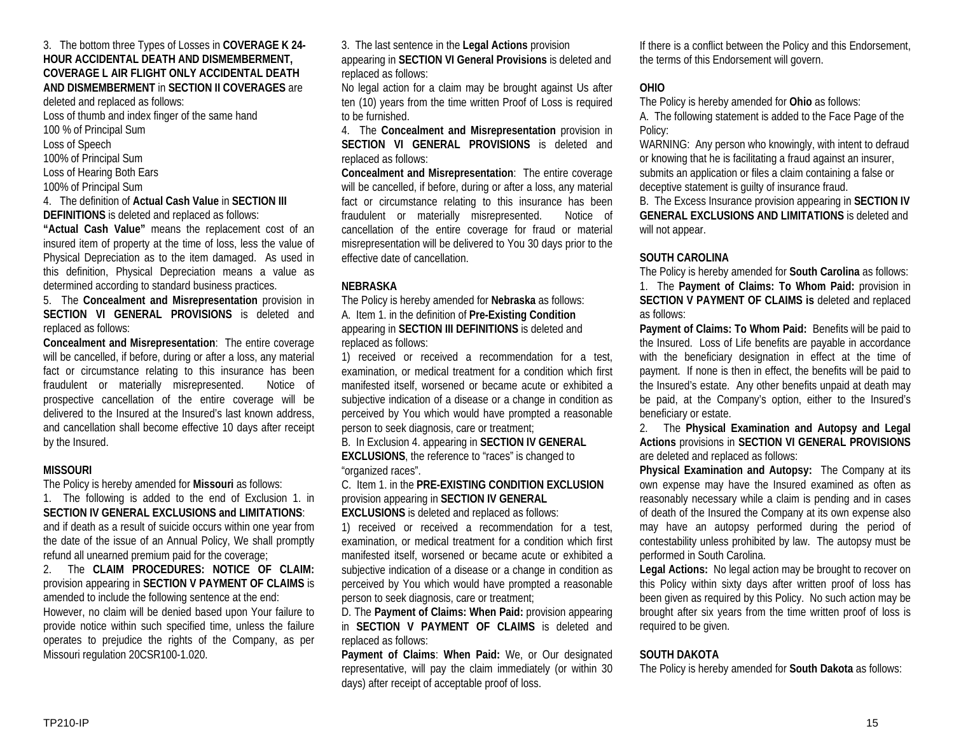#### 3. The bottom three Types of Losses in **COVERAGE K 24- HOUR ACCIDENTAL DEATH AND DISMEMBERMENT, COVERAGE L AIR FLIGHT ONLY ACCIDENTAL DEATH AND DISMEMBERMENT** in **SECTION II COVERAGES** are

deleted and replaced as follows:

Loss of thumb and index finger of the same hand

100 % of Principal Sum

Loss of Speech

100% of Principal Sum

Loss of Hearing Both Ears

100% of Principal Sum

# 4. The definition of **Actual Cash Value** in **SECTION III**

**DEFINITIONS** is deleted and replaced as follows:

**"Actual Cash Value"** means the replacement cost of an insured item of property at the time of loss, less the value of Physical Depreciation as to the item damaged. As used in this definition, Physical Depreciation means a value as determined according to standard business practices.

5. The **Concealment and Misrepresentation** provision in **SECTION VI GENERAL PROVISIONS** is deleted and replaced as follows:

**Concealment and Misrepresentation**: The entire coverage will be cancelled, if before, during or after a loss, any material fact or circumstance relating to this insurance has been fraudulent or materially misrepresented. Notice of prospective cancellation of the entire coverage will be delivered to the Insured at the Insured's last known address, and cancellation shall become effective 10 days after receipt by the Insured.

# **MISSOURI**

The Policy is hereby amended for **Missouri** as follows:

1. The following is added to the end of Exclusion 1. in **SECTION IV GENERAL EXCLUSIONS and LIMITATIONS**: and if death as a result of suicide occurs within one year from the date of the issue of an Annual Policy, We shall promptly refund all unearned premium paid for the coverage;

2. The **CLAIM PROCEDURES: NOTICE OF CLAIM:**  provision appearing in **SECTION V PAYMENT OF CLAIMS** is amended to include the following sentence at the end: However, no claim will be denied based upon Your failure to provide notice within such specified time, unless the failure operates to prejudice the rights of the Company, as per Missouri regulation 20CSR100-1.020.

3. The last sentence in the **Legal Actions** provision

appearing in **SECTION VI General Provisions** is deleted and replaced as follows:

No legal action for a claim may be brought against Us after ten (10) years from the time written Proof of Loss is required to be furnished.

4. The **Concealment and Misrepresentation** provision in **SECTION VI GENERAL PROVISIONS** is deleted and replaced as follows:

**Concealment and Misrepresentation**: The entire coverage will be cancelled, if before, during or after a loss, any material fact or circumstance relating to this insurance has been fraudulent or materially misrepresented. Notice of cancellation of the entire coverage for fraud or material misrepresentation will be delivered to You 30 days prior to the effective date of cancellation.

# **NEBRASKA**

The Policy is hereby amended for **Nebraska** as follows: A. Item 1. in the definition of **Pre-Existing Condition** appearing in **SECTION III DEFINITIONS** is deleted and replaced as follows:

1) received or received a recommendation for a test, examination, or medical treatment for a condition which first manifested itself, worsened or became acute or exhibited a subjective indication of a disease or a change in condition as perceived by You which would have prompted a reasonable person to seek diagnosis, care or treatment;

B. In Exclusion 4. appearing in **SECTION IV GENERAL EXCLUSIONS**, the reference to "races" is changed to "organized races".

C. Item 1. in the **PRE-EXISTING CONDITION EXCLUSION** provision appearing in **SECTION IV GENERAL** 

**EXCLUSIONS** is deleted and replaced as follows:

1) received or received a recommendation for a test, examination, or medical treatment for a condition which first manifested itself, worsened or became acute or exhibited a subjective indication of a disease or a change in condition as perceived by You which would have prompted a reasonable person to seek diagnosis, care or treatment;

D. The **Payment of Claims: When Paid:** provision appearing in **SECTION V PAYMENT OF CLAIMS** is deleted and replaced as follows:

**Payment of Claims**: **When Paid:** We, or Our designated representative, will pay the claim immediately (or within 30 days) after receipt of acceptable proof of loss.

If there is a conflict between the Policy and this Endorsement, the terms of this Endorsement will govern.

# **OHIO**

The Policy is hereby amended for **Ohio** as follows:

A. The following statement is added to the Face Page of the Policy:

WARNING: Any person who knowingly, with intent to defraud or knowing that he is facilitating a fraud against an insurer, submits an application or files a claim containing a false or deceptive statement is guilty of insurance fraud.

B. The Excess Insurance provision appearing in **SECTION IV GENERAL EXCLUSIONS AND LIMITATIONS** is deleted and will not appear.

# **SOUTH CAROLINA**

The Policy is hereby amended for **South Carolina** as follows: 1. The **Payment of Claims: To Whom Paid:** provision in **SECTION V PAYMENT OF CLAIMS is** deleted and replaced

as follows:

**Payment of Claims: To Whom Paid:** Benefits will be paid to the Insured. Loss of Life benefits are payable in accordance with the beneficiary designation in effect at the time of payment. If none is then in effect, the benefits will be paid to the Insured's estate. Any other benefits unpaid at death may be paid, at the Company's option, either to the Insured's beneficiary or estate.

2. The **Physical Examination and Autopsy and Legal Actions** provisions in **SECTION VI GENERAL PROVISIONS** are deleted and replaced as follows:

**Physical Examination and Autopsy:** The Company at its own expense may have the Insured examined as often as reasonably necessary while a claim is pending and in cases of death of the Insured the Company at its own expense also may have an autopsy performed during the period of contestability unless prohibited by law. The autopsy must be performed in South Carolina.

**Legal Actions:** No legal action may be brought to recover on this Policy within sixty days after written proof of loss has been given as required by this Policy. No such action may be brought after six years from the time written proof of loss is required to be given.

# **SOUTH DAKOTA**

The Policy is hereby amended for **South Dakota** as follows: